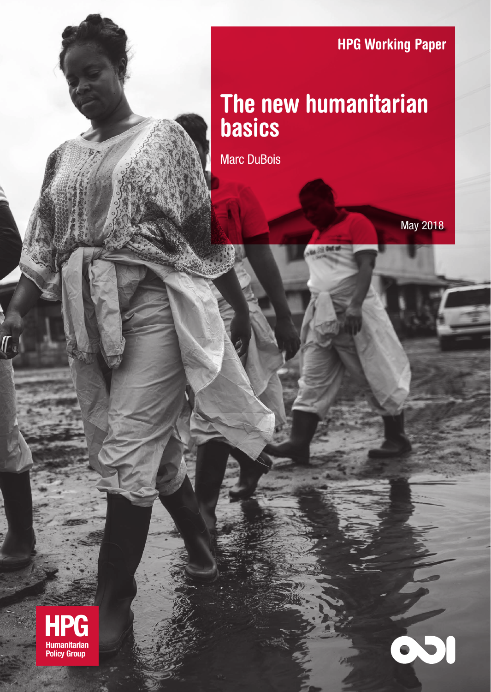## **HPG Working Paper**

## **The new humanitarian basics**

Marc DuBois

May 2018



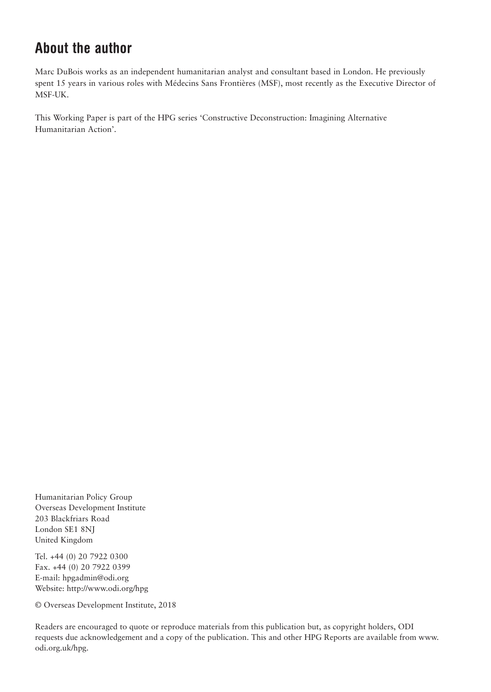### **About the author**

Marc DuBois works as an independent humanitarian analyst and consultant based in London. He previously spent 15 years in various roles with Médecins Sans Frontières (MSF), most recently as the Executive Director of MSF-UK.

This Working Paper is part of the HPG series 'Constructive Deconstruction: Imagining Alternative Humanitarian Action'.

Humanitarian Policy Group Overseas Development Institute 203 Blackfriars Road London SE1 8NJ United Kingdom

Tel. +44 (0) 20 7922 0300 Fax. +44 (0) 20 7922 0399 E-mail: hpgadmin@odi.org Website: http://www.odi.org/hpg

© Overseas Development Institute, 2018

Readers are encouraged to quote or reproduce materials from this publication but, as copyright holders, ODI requests due acknowledgement and a copy of the publication. This and other HPG Reports are available from www. odi.org.uk/hpg.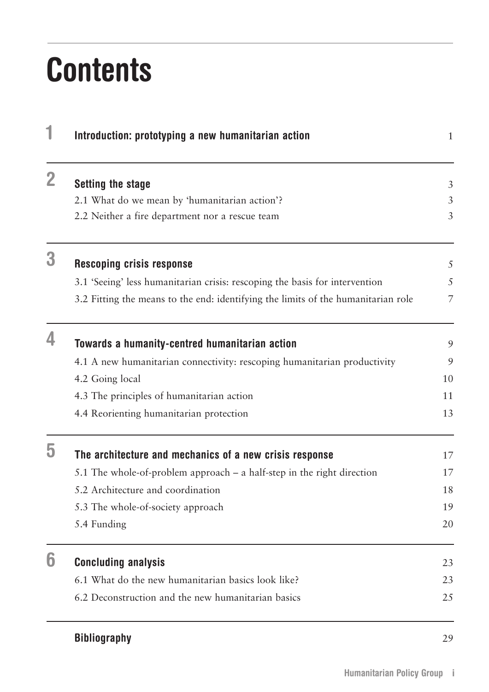## **Contents**

|                | Introduction: prototyping a new humanitarian action                               | 1              |
|----------------|-----------------------------------------------------------------------------------|----------------|
| $\overline{2}$ | <b>Setting the stage</b>                                                          | 3              |
|                | 2.1 What do we mean by 'humanitarian action'?                                     | 3              |
|                | 2.2 Neither a fire department nor a rescue team                                   | $\mathfrak{Z}$ |
| 3              | <b>Rescoping crisis response</b>                                                  | 5              |
|                | 3.1 'Seeing' less humanitarian crisis: rescoping the basis for intervention       | 5              |
|                | 3.2 Fitting the means to the end: identifying the limits of the humanitarian role | 7              |
| 4              | Towards a humanity-centred humanitarian action                                    | 9              |
|                | 4.1 A new humanitarian connectivity: rescoping humanitarian productivity          | 9              |
|                | 4.2 Going local                                                                   | 10             |
|                | 4.3 The principles of humanitarian action                                         | 11             |
|                | 4.4 Reorienting humanitarian protection                                           | 13             |
| 5              | The architecture and mechanics of a new crisis response                           | 17             |
|                | 5.1 The whole-of-problem approach $-$ a half-step in the right direction          | 17             |
|                | 5.2 Architecture and coordination                                                 | 18             |
|                | 5.3 The whole-of-society approach                                                 | 19             |
|                | 5.4 Funding                                                                       | 20             |
| 6              | <b>Concluding analysis</b>                                                        | 23             |
|                | 6.1 What do the new humanitarian basics look like?                                | 23             |
|                | 6.2 Deconstruction and the new humanitarian basics                                | 25             |
|                |                                                                                   |                |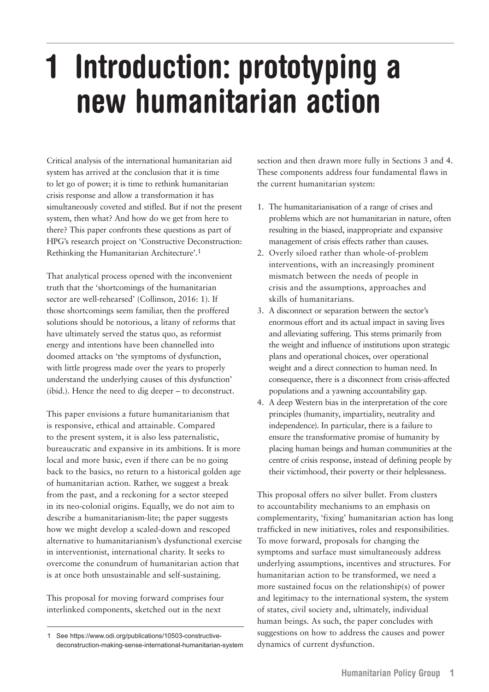## <span id="page-4-0"></span>**1 Introduction: prototyping a new humanitarian action**

Critical analysis of the international humanitarian aid system has arrived at the conclusion that it is time to let go of power; it is time to rethink humanitarian crisis response and allow a transformation it has simultaneously coveted and stifled. But if not the present system, then what? And how do we get from here to there? This paper confronts these questions as part of HPG's research project on 'Constructive Deconstruction: Rethinking the Humanitarian Architecture'.1

That analytical process opened with the inconvenient truth that the 'shortcomings of the humanitarian sector are well-rehearsed' (Collinson, 2016: 1). If those shortcomings seem familiar, then the proffered solutions should be notorious, a litany of reforms that have ultimately served the status quo, as reformist energy and intentions have been channelled into doomed attacks on 'the symptoms of dysfunction, with little progress made over the years to properly understand the underlying causes of this dysfunction' (ibid.). Hence the need to dig deeper – to deconstruct.

This paper envisions a future humanitarianism that is responsive, ethical and attainable. Compared to the present system, it is also less paternalistic, bureaucratic and expansive in its ambitions. It is more local and more basic, even if there can be no going back to the basics, no return to a historical golden age of humanitarian action. Rather, we suggest a break from the past, and a reckoning for a sector steeped in its neo-colonial origins. Equally, we do not aim to describe a humanitarianism-lite; the paper suggests how we might develop a scaled-down and rescoped alternative to humanitarianism's dysfunctional exercise in interventionist, international charity. It seeks to overcome the conundrum of humanitarian action that is at once both unsustainable and self-sustaining.

This proposal for moving forward comprises four interlinked components, sketched out in the next

section and then drawn more fully in Sections 3 and 4. These components address four fundamental flaws in the current humanitarian system:

- 1. The humanitarianisation of a range of crises and problems which are not humanitarian in nature, often resulting in the biased, inappropriate and expansive management of crisis effects rather than causes.
- 2. Overly siloed rather than whole-of-problem interventions, with an increasingly prominent mismatch between the needs of people in crisis and the assumptions, approaches and skills of humanitarians.
- 3. A disconnect or separation between the sector's enormous effort and its actual impact in saving lives and alleviating suffering. This stems primarily from the weight and influence of institutions upon strategic plans and operational choices, over operational weight and a direct connection to human need. In consequence, there is a disconnect from crisis-affected populations and a yawning accountability gap.
- 4. A deep Western bias in the interpretation of the core principles (humanity, impartiality, neutrality and independence). In particular, there is a failure to ensure the transformative promise of humanity by placing human beings and human communities at the centre of crisis response, instead of defining people by their victimhood, their poverty or their helplessness.

This proposal offers no silver bullet. From clusters to accountability mechanisms to an emphasis on complementarity, 'fixing' humanitarian action has long trafficked in new initiatives, roles and responsibilities. To move forward, proposals for changing the symptoms and surface must simultaneously address underlying assumptions, incentives and structures. For humanitarian action to be transformed, we need a more sustained focus on the relationship(s) of power and legitimacy to the international system, the system of states, civil society and, ultimately, individual human beings. As such, the paper concludes with suggestions on how to address the causes and power dynamics of current dysfunction.

<sup>1</sup> See https://www.odi.org/publications/10503-constructivedeconstruction-making-sense-international-humanitarian-system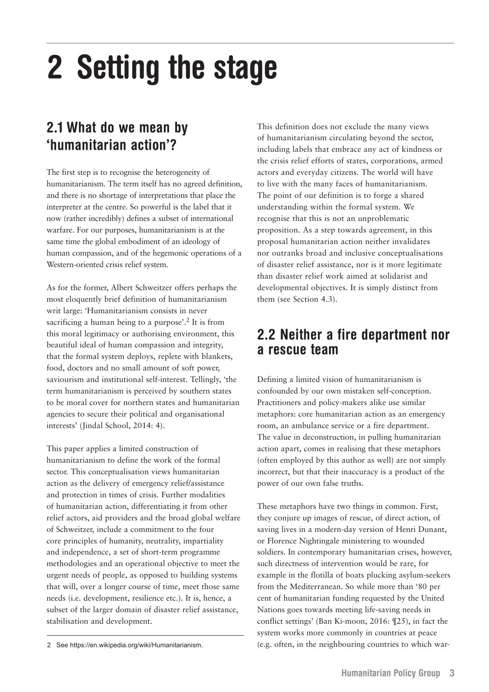# <span id="page-6-0"></span>**2 Setting the stage**

### **2.1 What do we mean by 'humanitarian action'?**

The first step is to recognise the heterogeneity of humanitarianism. The term itself has no agreed definition, and there is no shortage of interpretations that place the interpreter at the centre. So powerful is the label that it now (rather incredibly) defines a subset of international warfare. For our purposes, humanitarianism is at the same time the global embodiment of an ideology of human compassion, and of the hegemonic operations of a Western-oriented crisis relief system.

As for the former, Albert Schweitzer offers perhaps the most eloquently brief definition of humanitarianism writ large: 'Humanitarianism consists in never sacrificing a human being to a purpose'.<sup>2</sup> It is from this moral legitimacy or authorising environment, this beautiful ideal of human compassion and integrity, that the formal system deploys, replete with blankets, food, doctors and no small amount of soft power, saviourism and institutional self-interest. Tellingly, 'the term humanitarianism is perceived by southern states to be moral cover for northern states and humanitarian agencies to secure their political and organisational interests' (Jindal School, 2014: 4).

This paper applies a limited construction of humanitarianism to define the work of the formal sector. This conceptualisation views humanitarian action as the delivery of emergency relief/assistance and protection in times of crisis. Further modalities of humanitarian action, differentiating it from other relief actors, aid providers and the broad global welfare of Schweitzer, include a commitment to the four core principles of humanity, neutrality, impartiality and independence, a set of short-term programme methodologies and an operational objective to meet the urgent needs of people, as opposed to building systems that will, over a longer course of time, meet those same needs (i.e. development, resilience etc.). It is, hence, a subset of the larger domain of disaster relief assistance, stabilisation and development.

This definition does not exclude the many views of humanitarianism circulating beyond the sector, including labels that embrace any act of kindness or the crisis relief efforts of states, corporations, armed actors and everyday citizens. The world will have to live with the many faces of humanitarianism. The point of our definition is to forge a shared understanding within the formal system. We recognise that this is not an unproblematic proposition. As a step towards agreement, in this proposal humanitarian action neither invalidates nor outranks broad and inclusive conceptualisations of disaster relief assistance, nor is it more legitimate than disaster relief work aimed at solidarist and developmental objectives. It is simply distinct from them (see Section 4.3).

#### **2.2 Neither a fire department nor a rescue team**

Defining a limited vision of humanitarianism is confounded by our own mistaken self-conception. Practitioners and policy-makers alike use similar metaphors: core humanitarian action as an emergency room, an ambulance service or a fire department. The value in deconstruction, in pulling humanitarian action apart, comes in realising that these metaphors (often employed by this author as well) are not simply incorrect, but that their inaccuracy is a product of the power of our own false truths.

These metaphors have two things in common. First, they conjure up images of rescue, of direct action, of saving lives in a modern-day version of Henri Dunant, or Florence Nightingale ministering to wounded soldiers. In contemporary humanitarian crises, however, such directness of intervention would be rare, for example in the flotilla of boats plucking asylum-seekers from the Mediterranean. So while more than '80 per cent of humanitarian funding requested by the United Nations goes towards meeting life-saving needs in conflict settings' (Ban Ki-moon, 2016: ¶25), in fact the system works more commonly in countries at peace (e.g. often, in the neighbouring countries to which war-

<sup>2</sup> See https://en.wikipedia.org/wiki/Humanitarianism.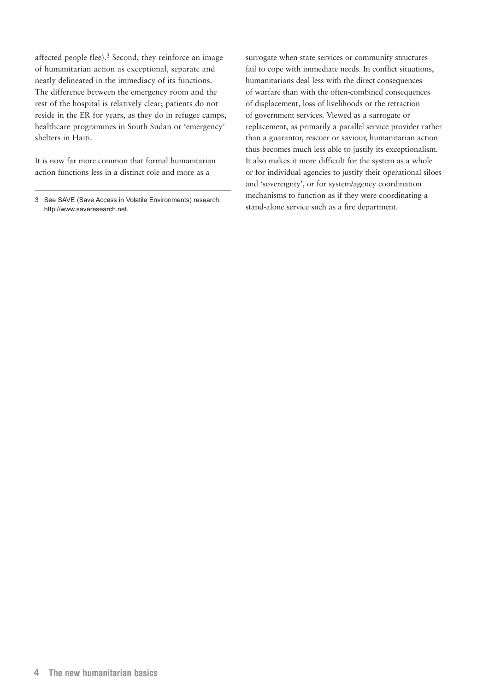affected people flee). $3$  Second, they reinforce an image of humanitarian action as exceptional, separate and neatly delineated in the immediacy of its functions. The difference between the emergency room and the rest of the hospital is relatively clear; patients do not reside in the ER for years, as they do in refugee camps, healthcare programmes in South Sudan or 'emergency' shelters in Haiti.

It is now far more common that formal humanitarian action functions less in a distinct role and more as a

surrogate when state services or community structures fail to cope with immediate needs. In conflict situations, humanitarians deal less with the direct consequences of warfare than with the often-combined consequences of displacement, loss of livelihoods or the retraction of government services. Viewed as a surrogate or replacement, as primarily a parallel service provider rather than a guarantor, rescuer or saviour, humanitarian action thus becomes much less able to justify its exceptionalism. It also makes it more difficult for the system as a whole or for individual agencies to justify their operational siloes and 'sovereignty', or for system/agency coordination mechanisms to function as if they were coordinating a stand-alone service such as a fire department.

<sup>3</sup> See SAVE (Save Access in Volatile Environments) research: http://www.saveresearch.net.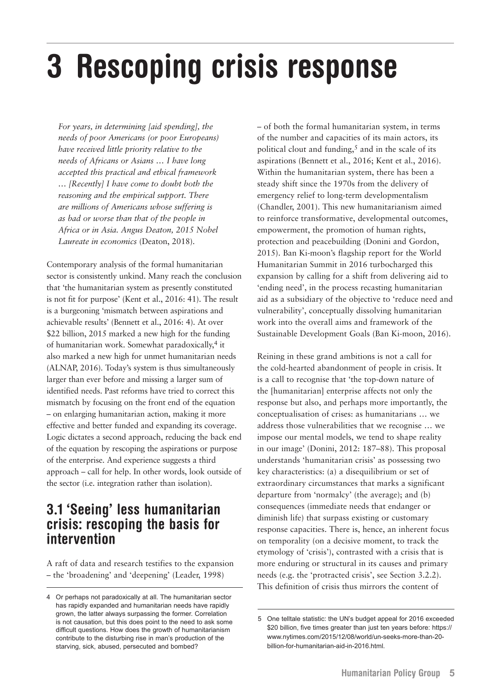## <span id="page-8-0"></span>**3 Rescoping crisis response**

*For years, in determining [aid spending], the needs of poor Americans (or poor Europeans) have received little priority relative to the needs of Africans or Asians … I have long accepted this practical and ethical framework … [Recently] I have come to doubt both the reasoning and the empirical support. There are millions of Americans whose suffering is as bad or worse than that of the people in Africa or in Asia. Angus Deaton, 2015 Nobel Laureate in economics* (Deaton, 2018).

Contemporary analysis of the formal humanitarian sector is consistently unkind. Many reach the conclusion that 'the humanitarian system as presently constituted is not fit for purpose' (Kent et al., 2016: 41). The result is a burgeoning 'mismatch between aspirations and achievable results' (Bennett et al., 2016: 4). At over \$22 billion, 2015 marked a new high for the funding of humanitarian work. Somewhat paradoxically,4 it also marked a new high for unmet humanitarian needs (ALNAP, 2016). Today's system is thus simultaneously larger than ever before and missing a larger sum of identified needs. Past reforms have tried to correct this mismatch by focusing on the front end of the equation – on enlarging humanitarian action, making it more effective and better funded and expanding its coverage. Logic dictates a second approach, reducing the back end of the equation by rescoping the aspirations or purpose of the enterprise. And experience suggests a third approach – call for help. In other words, look outside of the sector (i.e. integration rather than isolation).

#### **3.1 'Seeing' less humanitarian crisis: rescoping the basis for intervention**

A raft of data and research testifies to the expansion – the 'broadening' and 'deepening' (Leader, 1998)

– of both the formal humanitarian system, in terms of the number and capacities of its main actors, its political clout and funding, $5$  and in the scale of its aspirations (Bennett et al., 2016; Kent et al., 2016). Within the humanitarian system, there has been a steady shift since the 1970s from the delivery of emergency relief to long-term developmentalism (Chandler, 2001). This new humanitarianism aimed to reinforce transformative, developmental outcomes, empowerment, the promotion of human rights, protection and peacebuilding (Donini and Gordon, 2015). Ban Ki-moon's flagship report for the World Humanitarian Summit in 2016 turbocharged this expansion by calling for a shift from delivering aid to 'ending need', in the process recasting humanitarian aid as a subsidiary of the objective to 'reduce need and vulnerability', conceptually dissolving humanitarian work into the overall aims and framework of the Sustainable Development Goals (Ban Ki-moon, 2016).

Reining in these grand ambitions is not a call for the cold-hearted abandonment of people in crisis. It is a call to recognise that 'the top-down nature of the [humanitarian] enterprise affects not only the response but also, and perhaps more importantly, the conceptualisation of crises: as humanitarians … we address those vulnerabilities that we recognise … we impose our mental models, we tend to shape reality in our image' (Donini, 2012: 187–88). This proposal understands 'humanitarian crisis' as possessing two key characteristics: (a) a disequilibrium or set of extraordinary circumstances that marks a significant departure from 'normalcy' (the average); and (b) consequences (immediate needs that endanger or diminish life) that surpass existing or customary response capacities. There is, hence, an inherent focus on temporality (on a decisive moment, to track the etymology of 'crisis'), contrasted with a crisis that is more enduring or structural in its causes and primary needs (e.g. the 'protracted crisis', see Section 3.2.2). This definition of crisis thus mirrors the content of

<sup>4</sup> Or perhaps not paradoxically at all. The humanitarian sector has rapidly expanded and humanitarian needs have rapidly grown, the latter always surpassing the former. Correlation is not causation, but this does point to the need to ask some difficult questions. How does the growth of humanitarianism contribute to the disturbing rise in man's production of the starving, sick, abused, persecuted and bombed?

<sup>5</sup> One telltale statistic: the UN's budget appeal for 2016 exceeded \$20 billion, five times greater than just ten years before: https:// www.nytimes.com/2015/12/08/world/un-seeks-more-than-20 billion-for-humanitarian-aid-in-2016.html.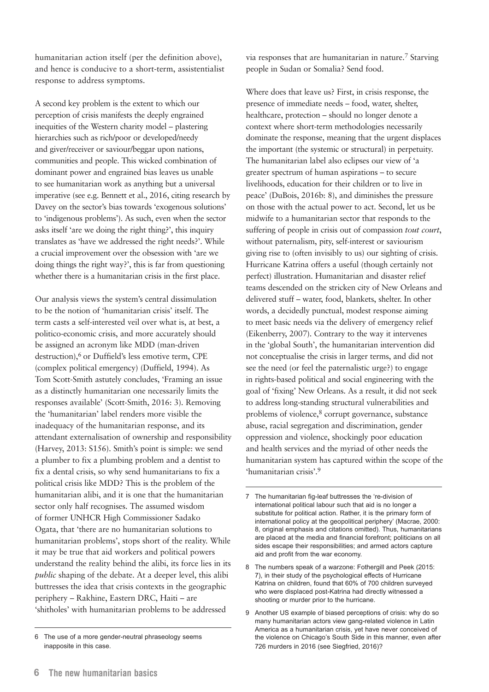humanitarian action itself (per the definition above), and hence is conducive to a short-term, assistentialist response to address symptoms.

A second key problem is the extent to which our perception of crisis manifests the deeply engrained inequities of the Western charity model – plastering hierarchies such as rich/poor or developed/needy and giver/receiver or saviour/beggar upon nations, communities and people. This wicked combination of dominant power and engrained bias leaves us unable to see humanitarian work as anything but a universal imperative (see e.g. Bennett et al., 2016, citing research by Davey on the sector's bias towards 'exogenous solutions' to 'indigenous problems'). As such, even when the sector asks itself 'are we doing the right thing?', this inquiry translates as 'have we addressed the right needs?'. While a crucial improvement over the obsession with 'are we doing things the right way?', this is far from questioning whether there is a humanitarian crisis in the first place.

Our analysis views the system's central dissimulation to be the notion of 'humanitarian crisis' itself. The term casts a self-interested veil over what is, at best, a politico-economic crisis, and more accurately should be assigned an acronym like MDD (man-driven destruction),<sup>6</sup> or Duffield's less emotive term, CPE (complex political emergency) (Duffield, 1994). As Tom Scott-Smith astutely concludes, 'Framing an issue as a distinctly humanitarian one necessarily limits the responses available' (Scott-Smith, 2016: 3). Removing the 'humanitarian' label renders more visible the inadequacy of the humanitarian response, and its attendant externalisation of ownership and responsibility (Harvey, 2013: S156). Smith's point is simple: we send a plumber to fix a plumbing problem and a dentist to fix a dental crisis, so why send humanitarians to fix a political crisis like MDD? This is the problem of the humanitarian alibi, and it is one that the humanitarian sector only half recognises. The assumed wisdom of former UNHCR High Commissioner Sadako Ogata, that 'there are no humanitarian solutions to humanitarian problems', stops short of the reality. While it may be true that aid workers and political powers understand the reality behind the alibi, its force lies in its *public* shaping of the debate. At a deeper level, this alibi buttresses the idea that crisis contexts in the geographic periphery – Rakhine, Eastern DRC, Haiti – are 'shitholes' with humanitarian problems to be addressed

via responses that are humanitarian in nature.7 Starving people in Sudan or Somalia? Send food.

Where does that leave us? First, in crisis response, the presence of immediate needs – food, water, shelter, healthcare, protection – should no longer denote a context where short-term methodologies necessarily dominate the response, meaning that the urgent displaces the important (the systemic or structural) in perpetuity. The humanitarian label also eclipses our view of 'a greater spectrum of human aspirations – to secure livelihoods, education for their children or to live in peace' (DuBois, 2016b: 8), and diminishes the pressure on those with the actual power to act. Second, let us be midwife to a humanitarian sector that responds to the suffering of people in crisis out of compassion *tout court*, without paternalism, pity, self-interest or saviourism giving rise to (often invisibly to us) our sighting of crisis. Hurricane Katrina offers a useful (though certainly not perfect) illustration. Humanitarian and disaster relief teams descended on the stricken city of New Orleans and delivered stuff – water, food, blankets, shelter. In other words, a decidedly punctual, modest response aiming to meet basic needs via the delivery of emergency relief (Eikenberry, 2007). Contrary to the way it intervenes in the 'global South', the humanitarian intervention did not conceptualise the crisis in larger terms, and did not see the need (or feel the paternalistic urge?) to engage in rights-based political and social engineering with the goal of 'fixing' New Orleans. As a result, it did not seek to address long-standing structural vulnerabilities and problems of violence,<sup>8</sup> corrupt governance, substance abuse, racial segregation and discrimination, gender oppression and violence, shockingly poor education and health services and the myriad of other needs the humanitarian system has captured within the scope of the 'humanitarian crisis'.9

<sup>6</sup> The use of a more gender-neutral phraseology seems inapposite in this case.

<sup>7</sup> The humanitarian fig-leaf buttresses the 're-division of international political labour such that aid is no longer a substitute for political action. Rather, it is the primary form of international policy at the geopolitical periphery' (Macrae, 2000: 8, original emphasis and citations omitted). Thus, humanitarians are placed at the media and financial forefront; politicians on all sides escape their responsibilities; and armed actors capture aid and profit from the war economy.

<sup>8</sup> The numbers speak of a warzone: Fothergill and Peek (2015: 7), in their study of the psychological effects of Hurricane Katrina on children, found that 60% of 700 children surveyed who were displaced post-Katrina had directly witnessed a shooting or murder prior to the hurricane.

<sup>9</sup> Another US example of biased perceptions of crisis: why do so many humanitarian actors view gang-related violence in Latin America as a humanitarian crisis, yet have never conceived of the violence on Chicago's South Side in this manner, even after 726 murders in 2016 (see Siegfried, 2016)?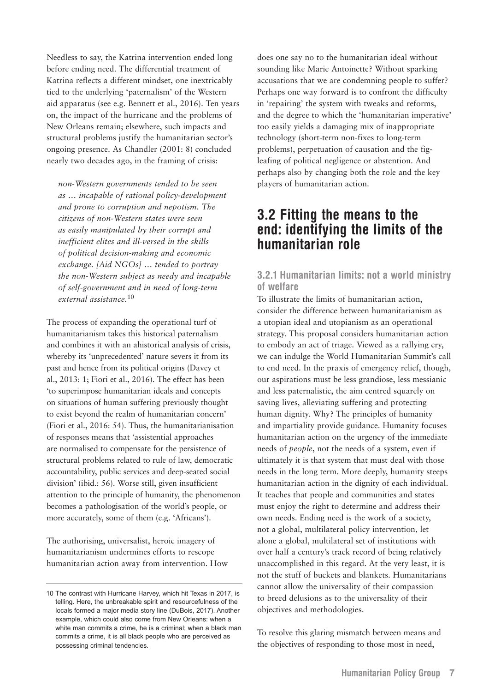<span id="page-10-0"></span>Needless to say, the Katrina intervention ended long before ending need. The differential treatment of Katrina reflects a different mindset, one inextricably tied to the underlying 'paternalism' of the Western aid apparatus (see e.g. Bennett et al., 2016). Ten years on, the impact of the hurricane and the problems of New Orleans remain; elsewhere, such impacts and structural problems justify the humanitarian sector's ongoing presence. As Chandler (2001: 8) concluded nearly two decades ago, in the framing of crisis:

*non-Western governments tended to be seen as … incapable of rational policy-development and prone to corruption and nepotism. The citizens of non-Western states were seen as easily manipulated by their corrupt and inefficient elites and ill-versed in the skills of political decision-making and economic exchange. [Aid NGOs] … tended to portray the non-Western subject as needy and incapable of self-government and in need of long-term external assistance.*<sup>10</sup>

The process of expanding the operational turf of humanitarianism takes this historical paternalism and combines it with an ahistorical analysis of crisis, whereby its 'unprecedented' nature severs it from its past and hence from its political origins (Davey et al., 2013: 1; Fiori et al., 2016). The effect has been 'to superimpose humanitarian ideals and concepts on situations of human suffering previously thought to exist beyond the realm of humanitarian concern' (Fiori et al., 2016: 54). Thus, the humanitarianisation of responses means that 'assistential approaches are normalised to compensate for the persistence of structural problems related to rule of law, democratic accountability, public services and deep-seated social division' (ibid.: 56). Worse still, given insufficient attention to the principle of humanity, the phenomenon becomes a pathologisation of the world's people, or more accurately, some of them (e.g. 'Africans').

The authorising, universalist, heroic imagery of humanitarianism undermines efforts to rescope humanitarian action away from intervention. How

does one say no to the humanitarian ideal without sounding like Marie Antoinette? Without sparking accusations that we are condemning people to suffer? Perhaps one way forward is to confront the difficulty in 'repairing' the system with tweaks and reforms, and the degree to which the 'humanitarian imperative' too easily yields a damaging mix of inappropriate technology (short-term non-fixes to long-term problems), perpetuation of causation and the figleafing of political negligence or abstention. And perhaps also by changing both the role and the key players of humanitarian action.

#### **3.2 Fitting the means to the end: identifying the limits of the humanitarian role**

#### **3.2.1 Humanitarian limits: not a world ministry of welfare**

To illustrate the limits of humanitarian action, consider the difference between humanitarianism as a utopian ideal and utopianism as an operational strategy. This proposal considers humanitarian action to embody an act of triage. Viewed as a rallying cry, we can indulge the World Humanitarian Summit's call to end need. In the praxis of emergency relief, though, our aspirations must be less grandiose, less messianic and less paternalistic, the aim centred squarely on saving lives, alleviating suffering and protecting human dignity. Why? The principles of humanity and impartiality provide guidance. Humanity focuses humanitarian action on the urgency of the immediate needs of *people*, not the needs of a system, even if ultimately it is that system that must deal with those needs in the long term. More deeply, humanity steeps humanitarian action in the dignity of each individual. It teaches that people and communities and states must enjoy the right to determine and address their own needs. Ending need is the work of a society, not a global, multilateral policy intervention, let alone a global, multilateral set of institutions with over half a century's track record of being relatively unaccomplished in this regard. At the very least, it is not the stuff of buckets and blankets. Humanitarians cannot allow the universality of their compassion to breed delusions as to the universality of their objectives and methodologies.

To resolve this glaring mismatch between means and the objectives of responding to those most in need,

<sup>10</sup> The contrast with Hurricane Harvey, which hit Texas in 2017, is telling. Here, the unbreakable spirit and resourcefulness of the locals formed a major media story line (DuBois, 2017). Another example, which could also come from New Orleans: when a white man commits a crime, he is a criminal; when a black man commits a crime, it is all black people who are perceived as possessing criminal tendencies.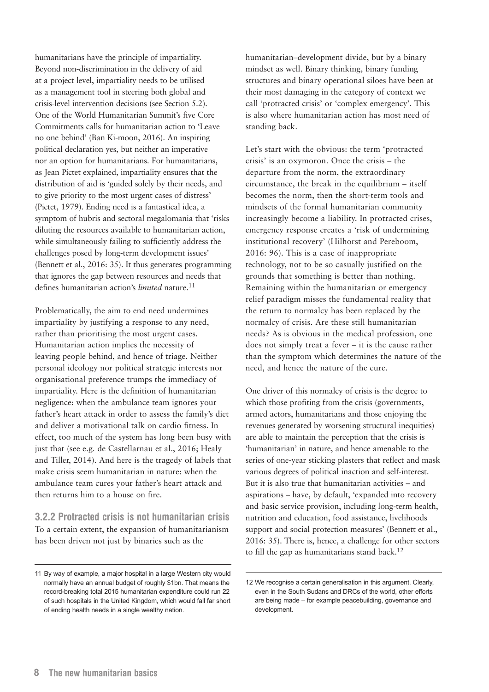humanitarians have the principle of impartiality. Beyond non-discrimination in the delivery of aid at a project level, impartiality needs to be utilised as a management tool in steering both global and crisis-level intervention decisions (see Section 5.2). One of the World Humanitarian Summit's five Core Commitments calls for humanitarian action to 'Leave no one behind' (Ban Ki-moon, 2016). An inspiring political declaration yes, but neither an imperative nor an option for humanitarians. For humanitarians, as Jean Pictet explained, impartiality ensures that the distribution of aid is 'guided solely by their needs, and to give priority to the most urgent cases of distress' (Pictet, 1979). Ending need is a fantastical idea, a symptom of hubris and sectoral megalomania that 'risks diluting the resources available to humanitarian action, while simultaneously failing to sufficiently address the challenges posed by long-term development issues' (Bennett et al., 2016: 35). It thus generates programming that ignores the gap between resources and needs that defines humanitarian action's *limited* nature.<sup>11</sup>

Problematically, the aim to end need undermines impartiality by justifying a response to any need, rather than prioritising the most urgent cases. Humanitarian action implies the necessity of leaving people behind, and hence of triage. Neither personal ideology nor political strategic interests nor organisational preference trumps the immediacy of impartiality. Here is the definition of humanitarian negligence: when the ambulance team ignores your father's heart attack in order to assess the family's diet and deliver a motivational talk on cardio fitness. In effect, too much of the system has long been busy with just that (see e.g. de Castellarnau et al., 2016; Healy and Tiller, 2014). And here is the tragedy of labels that make crisis seem humanitarian in nature: when the ambulance team cures your father's heart attack and then returns him to a house on fire.

**3.2.2 Protracted crisis is not humanitarian crisis** To a certain extent, the expansion of humanitarianism has been driven not just by binaries such as the

11 By way of example, a major hospital in a large Western city would normally have an annual budget of roughly \$1bn. That means the record-breaking total 2015 humanitarian expenditure could run 22 of such hospitals in the United Kingdom, which would fall far short of ending health needs in a single wealthy nation.

humanitarian–development divide, but by a binary mindset as well. Binary thinking, binary funding structures and binary operational siloes have been at their most damaging in the category of context we call 'protracted crisis' or 'complex emergency'. This is also where humanitarian action has most need of standing back.

Let's start with the obvious: the term 'protracted crisis' is an oxymoron. Once the crisis – the departure from the norm, the extraordinary circumstance, the break in the equilibrium – itself becomes the norm, then the short-term tools and mindsets of the formal humanitarian community increasingly become a liability. In protracted crises, emergency response creates a 'risk of undermining institutional recovery' (Hilhorst and Pereboom, 2016: 96). This is a case of inappropriate technology, not to be so casually justified on the grounds that something is better than nothing. Remaining within the humanitarian or emergency relief paradigm misses the fundamental reality that the return to normalcy has been replaced by the normalcy of crisis. Are these still humanitarian needs? As is obvious in the medical profession, one does not simply treat a fever – it is the cause rather than the symptom which determines the nature of the need, and hence the nature of the cure.

One driver of this normalcy of crisis is the degree to which those profiting from the crisis (governments, armed actors, humanitarians and those enjoying the revenues generated by worsening structural inequities) are able to maintain the perception that the crisis is 'humanitarian' in nature, and hence amenable to the series of one-year sticking plasters that reflect and mask various degrees of political inaction and self-interest. But it is also true that humanitarian activities – and aspirations – have, by default, 'expanded into recovery and basic service provision, including long-term health, nutrition and education, food assistance, livelihoods support and social protection measures' (Bennett et al., 2016: 35). There is, hence, a challenge for other sectors to fill the gap as humanitarians stand back.12

<sup>12</sup> We recognise a certain generalisation in this argument. Clearly, even in the South Sudans and DRCs of the world, other efforts are being made – for example peacebuilding, governance and development.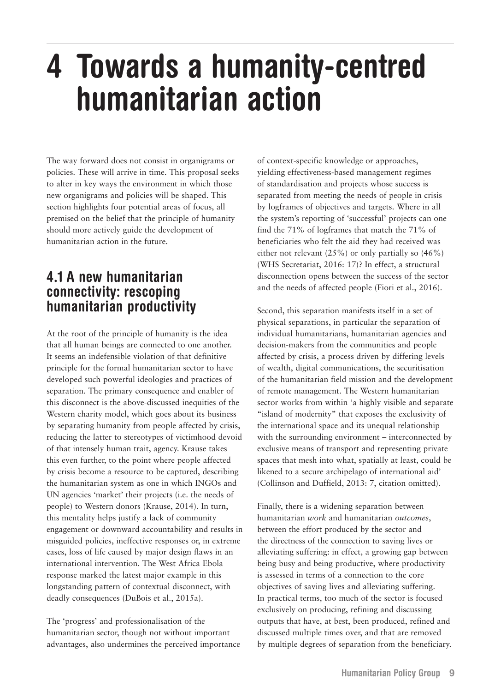## <span id="page-12-0"></span>**4 Towards a humanity-centred humanitarian action**

The way forward does not consist in organigrams or policies. These will arrive in time. This proposal seeks to alter in key ways the environment in which those new organigrams and policies will be shaped. This section highlights four potential areas of focus, all premised on the belief that the principle of humanity should more actively guide the development of humanitarian action in the future.

### **4.1 A new humanitarian connectivity: rescoping humanitarian productivity**

At the root of the principle of humanity is the idea that all human beings are connected to one another. It seems an indefensible violation of that definitive principle for the formal humanitarian sector to have developed such powerful ideologies and practices of separation. The primary consequence and enabler of this disconnect is the above-discussed inequities of the Western charity model, which goes about its business by separating humanity from people affected by crisis, reducing the latter to stereotypes of victimhood devoid of that intensely human trait, agency. Krause takes this even further, to the point where people affected by crisis become a resource to be captured, describing the humanitarian system as one in which INGOs and UN agencies 'market' their projects (i.e. the needs of people) to Western donors (Krause, 2014). In turn, this mentality helps justify a lack of community engagement or downward accountability and results in misguided policies, ineffective responses or, in extreme cases, loss of life caused by major design flaws in an international intervention. The West Africa Ebola response marked the latest major example in this longstanding pattern of contextual disconnect, with deadly consequences (DuBois et al., 2015a).

The 'progress' and professionalisation of the humanitarian sector, though not without important advantages, also undermines the perceived importance of context-specific knowledge or approaches, yielding effectiveness-based management regimes of standardisation and projects whose success is separated from meeting the needs of people in crisis by logframes of objectives and targets. Where in all the system's reporting of 'successful' projects can one find the 71% of logframes that match the 71% of beneficiaries who felt the aid they had received was either not relevant (25%) or only partially so (46%) (WHS Secretariat, 2016: 17)? In effect, a structural disconnection opens between the success of the sector and the needs of affected people (Fiori et al., 2016).

Second, this separation manifests itself in a set of physical separations, in particular the separation of individual humanitarians, humanitarian agencies and decision-makers from the communities and people affected by crisis, a process driven by differing levels of wealth, digital communications, the securitisation of the humanitarian field mission and the development of remote management. The Western humanitarian sector works from within 'a highly visible and separate "island of modernity" that exposes the exclusivity of the international space and its unequal relationship with the surrounding environment – interconnected by exclusive means of transport and representing private spaces that mesh into what, spatially at least, could be likened to a secure archipelago of international aid' (Collinson and Duffield, 2013: 7, citation omitted).

Finally, there is a widening separation between humanitarian *work* and humanitarian *outcomes*, between the effort produced by the sector and the directness of the connection to saving lives or alleviating suffering: in effect, a growing gap between being busy and being productive, where productivity is assessed in terms of a connection to the core objectives of saving lives and alleviating suffering. In practical terms, too much of the sector is focused exclusively on producing, refining and discussing outputs that have, at best, been produced, refined and discussed multiple times over, and that are removed by multiple degrees of separation from the beneficiary.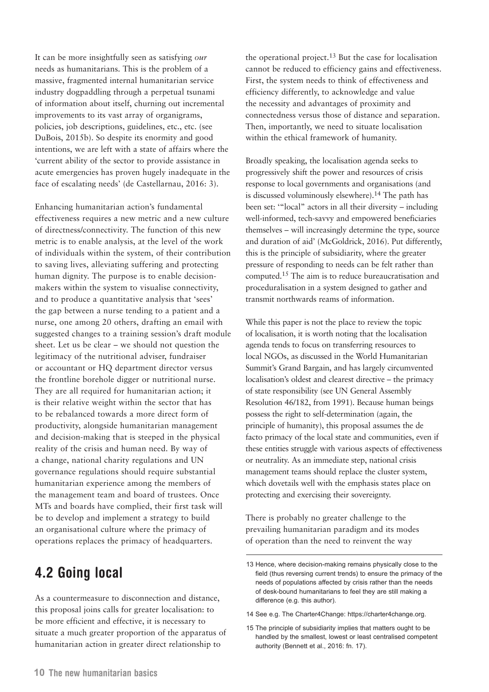<span id="page-13-0"></span>It can be more insightfully seen as satisfying *our* needs as humanitarians. This is the problem of a massive, fragmented internal humanitarian service industry dogpaddling through a perpetual tsunami of information about itself, churning out incremental improvements to its vast array of organigrams, policies, job descriptions, guidelines, etc., etc. (see DuBois, 2015b). So despite its enormity and good intentions, we are left with a state of affairs where the 'current ability of the sector to provide assistance in acute emergencies has proven hugely inadequate in the face of escalating needs' (de Castellarnau, 2016: 3).

Enhancing humanitarian action's fundamental effectiveness requires a new metric and a new culture of directness/connectivity. The function of this new metric is to enable analysis, at the level of the work of individuals within the system, of their contribution to saving lives, alleviating suffering and protecting human dignity. The purpose is to enable decisionmakers within the system to visualise connectivity, and to produce a quantitative analysis that 'sees' the gap between a nurse tending to a patient and a nurse, one among 20 others, drafting an email with suggested changes to a training session's draft module sheet. Let us be clear – we should not question the legitimacy of the nutritional adviser, fundraiser or accountant or HQ department director versus the frontline borehole digger or nutritional nurse. They are all required for humanitarian action; it is their relative weight within the sector that has to be rebalanced towards a more direct form of productivity, alongside humanitarian management and decision-making that is steeped in the physical reality of the crisis and human need. By way of a change, national charity regulations and UN governance regulations should require substantial humanitarian experience among the members of the management team and board of trustees. Once MTs and boards have complied, their first task will be to develop and implement a strategy to build an organisational culture where the primacy of operations replaces the primacy of headquarters.

### **4.2 Going local**

As a countermeasure to disconnection and distance, this proposal joins calls for greater localisation: to be more efficient and effective, it is necessary to situate a much greater proportion of the apparatus of humanitarian action in greater direct relationship to

the operational project.<sup>13</sup> But the case for localisation cannot be reduced to efficiency gains and effectiveness. First, the system needs to think of effectiveness and efficiency differently, to acknowledge and value the necessity and advantages of proximity and connectedness versus those of distance and separation. Then, importantly, we need to situate localisation within the ethical framework of humanity.

Broadly speaking, the localisation agenda seeks to progressively shift the power and resources of crisis response to local governments and organisations (and is discussed voluminously elsewhere).14 The path has been set: '"local" actors in all their diversity – including well-informed, tech-savvy and empowered beneficiaries themselves – will increasingly determine the type, source and duration of aid' (McGoldrick, 2016). Put differently, this is the principle of subsidiarity, where the greater pressure of responding to needs can be felt rather than computed.15 The aim is to reduce bureaucratisation and proceduralisation in a system designed to gather and transmit northwards reams of information.

While this paper is not the place to review the topic of localisation, it is worth noting that the localisation agenda tends to focus on transferring resources to local NGOs, as discussed in the World Humanitarian Summit's Grand Bargain, and has largely circumvented localisation's oldest and clearest directive – the primacy of state responsibility (see UN General Assembly Resolution 46/182, from 1991). Because human beings possess the right to self-determination (again, the principle of humanity), this proposal assumes the de facto primacy of the local state and communities, even if these entities struggle with various aspects of effectiveness or neutrality. As an immediate step, national crisis management teams should replace the cluster system, which dovetails well with the emphasis states place on protecting and exercising their sovereignty.

There is probably no greater challenge to the prevailing humanitarian paradigm and its modes of operation than the need to reinvent the way

14 See e.g. The Charter4Change: https://charter4change.org.

<sup>13</sup> Hence, where decision-making remains physically close to the field (thus reversing current trends) to ensure the primacy of the needs of populations affected by crisis rather than the needs of desk-bound humanitarians to feel they are still making a difference (e.g. this author).

<sup>15</sup> The principle of subsidiarity implies that matters ought to be handled by the smallest, lowest or least centralised competent authority (Bennett et al., 2016: fn. 17).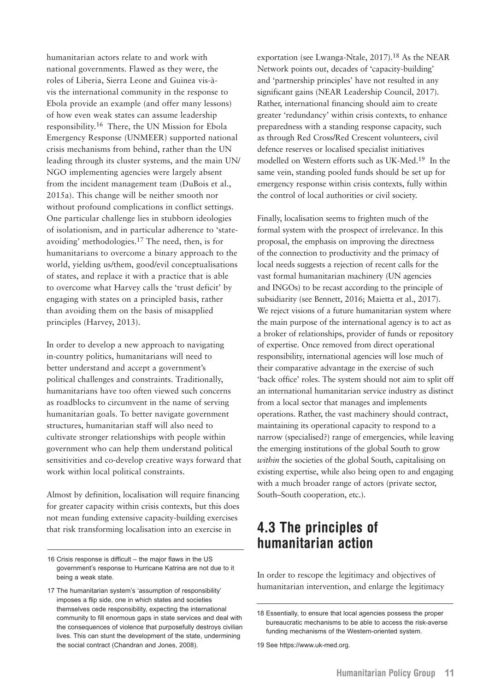<span id="page-14-0"></span>humanitarian actors relate to and work with national governments. Flawed as they were, the roles of Liberia, Sierra Leone and Guinea vis-àvis the international community in the response to Ebola provide an example (and offer many lessons) of how even weak states can assume leadership responsibility.16 There, the UN Mission for Ebola Emergency Response (UNMEER) supported national crisis mechanisms from behind, rather than the UN leading through its cluster systems, and the main UN/ NGO implementing agencies were largely absent from the incident management team (DuBois et al., 2015a). This change will be neither smooth nor without profound complications in conflict settings. One particular challenge lies in stubborn ideologies of isolationism, and in particular adherence to 'stateavoiding' methodologies.17 The need, then, is for humanitarians to overcome a binary approach to the world, yielding us/them, good/evil conceptualisations of states, and replace it with a practice that is able to overcome what Harvey calls the 'trust deficit' by engaging with states on a principled basis, rather than avoiding them on the basis of misapplied principles (Harvey, 2013).

In order to develop a new approach to navigating in-country politics, humanitarians will need to better understand and accept a government's political challenges and constraints. Traditionally, humanitarians have too often viewed such concerns as roadblocks to circumvent in the name of serving humanitarian goals. To better navigate government structures, humanitarian staff will also need to cultivate stronger relationships with people within government who can help them understand political sensitivities and co-develop creative ways forward that work within local political constraints.

Almost by definition, localisation will require financing for greater capacity within crisis contexts, but this does not mean funding extensive capacity-building exercises that risk transforming localisation into an exercise in

exportation (see Lwanga-Ntale, 2017).<sup>18</sup> As the NEAR Network points out, decades of 'capacity-building' and 'partnership principles' have not resulted in any significant gains (NEAR Leadership Council, 2017). Rather, international financing should aim to create greater 'redundancy' within crisis contexts, to enhance preparedness with a standing response capacity, such as through Red Cross/Red Crescent volunteers, civil defence reserves or localised specialist initiatives modelled on Western efforts such as UK-Med.19 In the same vein, standing pooled funds should be set up for emergency response within crisis contexts, fully within the control of local authorities or civil society.

Finally, localisation seems to frighten much of the formal system with the prospect of irrelevance. In this proposal, the emphasis on improving the directness of the connection to productivity and the primacy of local needs suggests a rejection of recent calls for the vast formal humanitarian machinery (UN agencies and INGOs) to be recast according to the principle of subsidiarity (see Bennett, 2016; Maietta et al., 2017). We reject visions of a future humanitarian system where the main purpose of the international agency is to act as a broker of relationships, provider of funds or repository of expertise. Once removed from direct operational responsibility, international agencies will lose much of their comparative advantage in the exercise of such 'back office' roles. The system should not aim to split off an international humanitarian service industry as distinct from a local sector that manages and implements operations. Rather, the vast machinery should contract, maintaining its operational capacity to respond to a narrow (specialised?) range of emergencies, while leaving the emerging institutions of the global South to grow *within* the societies of the global South, capitalising on existing expertise, while also being open to and engaging with a much broader range of actors (private sector, South–South cooperation, etc.).

### **4.3 The principles of humanitarian action**

In order to rescope the legitimacy and objectives of humanitarian intervention, and enlarge the legitimacy

19 See https://www.uk-med.org.

<sup>16</sup> Crisis response is difficult – the major flaws in the US government's response to Hurricane Katrina are not due to it being a weak state.

<sup>17</sup> The humanitarian system's 'assumption of responsibility' imposes a flip side, one in which states and societies themselves cede responsibility, expecting the international community to fill enormous gaps in state services and deal with the consequences of violence that purposefully destroys civilian lives. This can stunt the development of the state, undermining the social contract (Chandran and Jones, 2008).

<sup>18</sup> Essentially, to ensure that local agencies possess the proper bureaucratic mechanisms to be able to access the risk-averse funding mechanisms of the Western-oriented system.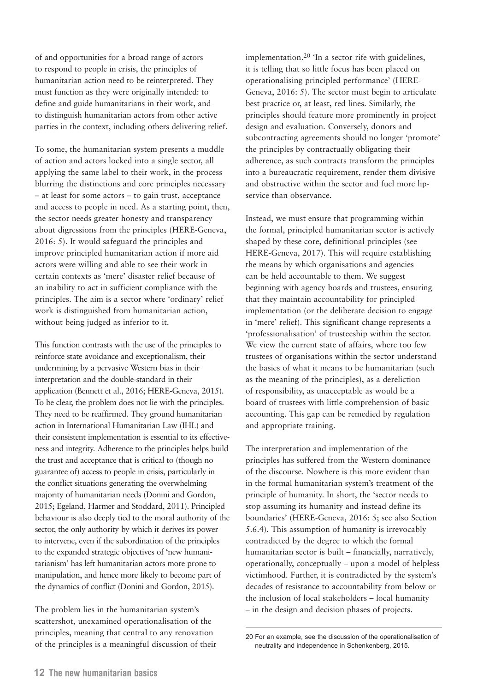of and opportunities for a broad range of actors to respond to people in crisis, the principles of humanitarian action need to be reinterpreted. They must function as they were originally intended: to define and guide humanitarians in their work, and to distinguish humanitarian actors from other active parties in the context, including others delivering relief.

To some, the humanitarian system presents a muddle of action and actors locked into a single sector, all applying the same label to their work, in the process blurring the distinctions and core principles necessary – at least for some actors – to gain trust, acceptance and access to people in need. As a starting point, then, the sector needs greater honesty and transparency about digressions from the principles (HERE-Geneva, 2016: 5). It would safeguard the principles and improve principled humanitarian action if more aid actors were willing and able to see their work in certain contexts as 'mere' disaster relief because of an inability to act in sufficient compliance with the principles. The aim is a sector where 'ordinary' relief work is distinguished from humanitarian action, without being judged as inferior to it.

This function contrasts with the use of the principles to reinforce state avoidance and exceptionalism, their undermining by a pervasive Western bias in their interpretation and the double-standard in their application (Bennett et al., 2016; HERE-Geneva, 2015). To be clear, the problem does not lie with the principles. They need to be reaffirmed. They ground humanitarian action in International Humanitarian Law (IHL) and their consistent implementation is essential to its effectiveness and integrity. Adherence to the principles helps build the trust and acceptance that is critical to (though no guarantee of) access to people in crisis, particularly in the conflict situations generating the overwhelming majority of humanitarian needs (Donini and Gordon, 2015; Egeland, Harmer and Stoddard, 2011). Principled behaviour is also deeply tied to the moral authority of the sector, the only authority by which it derives its power to intervene, even if the subordination of the principles to the expanded strategic objectives of 'new humanitarianism' has left humanitarian actors more prone to manipulation, and hence more likely to become part of the dynamics of conflict (Donini and Gordon, 2015).

The problem lies in the humanitarian system's scattershot, unexamined operationalisation of the principles, meaning that central to any renovation of the principles is a meaningful discussion of their

implementation.20 'In a sector rife with guidelines, it is telling that so little focus has been placed on operationalising principled performance' (HERE-Geneva, 2016: 5). The sector must begin to articulate best practice or, at least, red lines. Similarly, the principles should feature more prominently in project design and evaluation. Conversely, donors and subcontracting agreements should no longer 'promote' the principles by contractually obligating their adherence, as such contracts transform the principles into a bureaucratic requirement, render them divisive and obstructive within the sector and fuel more lipservice than observance.

Instead, we must ensure that programming within the formal, principled humanitarian sector is actively shaped by these core, definitional principles (see HERE-Geneva, 2017). This will require establishing the means by which organisations and agencies can be held accountable to them. We suggest beginning with agency boards and trustees, ensuring that they maintain accountability for principled implementation (or the deliberate decision to engage in 'mere' relief). This significant change represents a 'professionalisation' of trusteeship within the sector. We view the current state of affairs, where too few trustees of organisations within the sector understand the basics of what it means to be humanitarian (such as the meaning of the principles), as a dereliction of responsibility, as unacceptable as would be a board of trustees with little comprehension of basic accounting. This gap can be remedied by regulation and appropriate training.

The interpretation and implementation of the principles has suffered from the Western dominance of the discourse. Nowhere is this more evident than in the formal humanitarian system's treatment of the principle of humanity. In short, the 'sector needs to stop assuming its humanity and instead define its boundaries' (HERE-Geneva, 2016: 5; see also Section 5.6.4). This assumption of humanity is irrevocably contradicted by the degree to which the formal humanitarian sector is built – financially, narratively, operationally, conceptually – upon a model of helpless victimhood. Further, it is contradicted by the system's decades of resistance to accountability from below or the inclusion of local stakeholders – local humanity – in the design and decision phases of projects.

<sup>20</sup> For an example, see the discussion of the operationalisation of neutrality and independence in Schenkenberg, 2015.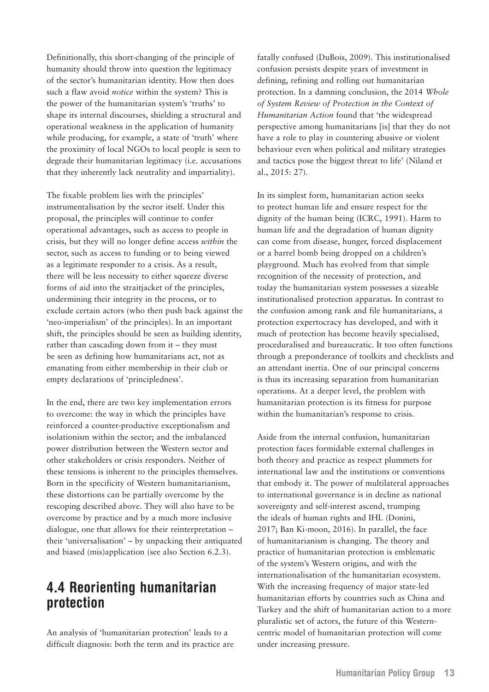<span id="page-16-0"></span>Definitionally, this short-changing of the principle of humanity should throw into question the legitimacy of the sector's humanitarian identity. How then does such a flaw avoid *notice* within the system? This is the power of the humanitarian system's 'truths' to shape its internal discourses, shielding a structural and operational weakness in the application of humanity while producing, for example, a state of 'truth' where the proximity of local NGOs to local people is seen to degrade their humanitarian legitimacy (i.e. accusations that they inherently lack neutrality and impartiality).

The fixable problem lies with the principles' instrumentalisation by the sector itself. Under this proposal, the principles will continue to confer operational advantages, such as access to people in crisis, but they will no longer define access *within* the sector, such as access to funding or to being viewed as a legitimate responder to a crisis. As a result, there will be less necessity to either squeeze diverse forms of aid into the straitjacket of the principles, undermining their integrity in the process, or to exclude certain actors (who then push back against the 'neo-imperialism' of the principles). In an important shift, the principles should be seen as building identity, rather than cascading down from it – they must be seen as defining how humanitarians act, not as emanating from either membership in their club or empty declarations of 'principledness'.

In the end, there are two key implementation errors to overcome: the way in which the principles have reinforced a counter-productive exceptionalism and isolationism within the sector; and the imbalanced power distribution between the Western sector and other stakeholders or crisis responders. Neither of these tensions is inherent to the principles themselves. Born in the specificity of Western humanitarianism, these distortions can be partially overcome by the rescoping described above. They will also have to be overcome by practice and by a much more inclusive dialogue, one that allows for their reinterpretation – their 'universalisation' – by unpacking their antiquated and biased (mis)application (see also Section 6.2.3).

### **4.4 Reorienting humanitarian protection**

An analysis of 'humanitarian protection' leads to a difficult diagnosis: both the term and its practice are

fatally confused (DuBois, 2009). This institutionalised confusion persists despite years of investment in defining, refining and rolling out humanitarian protection. In a damning conclusion, the 2014 *Whole of System Review of Protection in the Context of Humanitarian Action* found that 'the widespread perspective among humanitarians [is] that they do not have a role to play in countering abusive or violent behaviour even when political and military strategies and tactics pose the biggest threat to life' (Niland et al., 2015: 27).

In its simplest form, humanitarian action seeks to protect human life and ensure respect for the dignity of the human being (ICRC, 1991). Harm to human life and the degradation of human dignity can come from disease, hunger, forced displacement or a barrel bomb being dropped on a children's playground. Much has evolved from that simple recognition of the necessity of protection, and today the humanitarian system possesses a sizeable institutionalised protection apparatus. In contrast to the confusion among rank and file humanitarians, a protection expertocracy has developed, and with it much of protection has become heavily specialised, proceduralised and bureaucratic. It too often functions through a preponderance of toolkits and checklists and an attendant inertia. One of our principal concerns is thus its increasing separation from humanitarian operations. At a deeper level, the problem with humanitarian protection is its fitness for purpose within the humanitarian's response to crisis.

Aside from the internal confusion, humanitarian protection faces formidable external challenges in both theory and practice as respect plummets for international law and the institutions or conventions that embody it. The power of multilateral approaches to international governance is in decline as national sovereignty and self-interest ascend, trumping the ideals of human rights and IHL (Donini, 2017; Ban Ki-moon, 2016). In parallel, the face of humanitarianism is changing. The theory and practice of humanitarian protection is emblematic of the system's Western origins, and with the internationalisation of the humanitarian ecosystem. With the increasing frequency of major state-led humanitarian efforts by countries such as China and Turkey and the shift of humanitarian action to a more pluralistic set of actors, the future of this Westerncentric model of humanitarian protection will come under increasing pressure.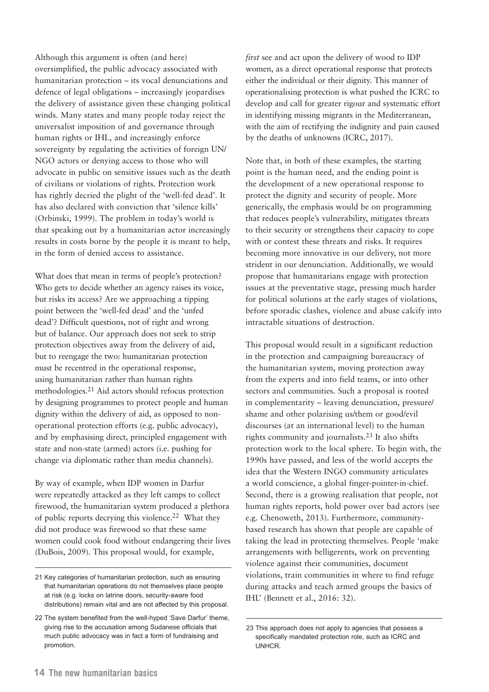Although this argument is often (and here) oversimplified, the public advocacy associated with humanitarian protection – its vocal denunciations and defence of legal obligations – increasingly jeopardises the delivery of assistance given these changing political winds. Many states and many people today reject the universalist imposition of and governance through human rights or IHL, and increasingly enforce sovereignty by regulating the activities of foreign UN/ NGO actors or denying access to those who will advocate in public on sensitive issues such as the death of civilians or violations of rights. Protection work has rightly decried the plight of the 'well-fed dead'. It has also declared with conviction that 'silence kills' (Orbinski, 1999). The problem in today's world is that speaking out by a humanitarian actor increasingly results in costs borne by the people it is meant to help, in the form of denied access to assistance.

What does that mean in terms of people's protection? Who gets to decide whether an agency raises its voice, but risks its access? Are we approaching a tipping point between the 'well-fed dead' and the 'unfed dead'? Difficult questions, not of right and wrong but of balance. Our approach does not seek to strip protection objectives away from the delivery of aid, but to reengage the two: humanitarian protection must be recentred in the operational response, using humanitarian rather than human rights methodologies.21 Aid actors should refocus protection by designing programmes to protect people and human dignity within the delivery of aid, as opposed to nonoperational protection efforts (e.g. public advocacy), and by emphasising direct, principled engagement with state and non-state (armed) actors (i.e. pushing for change via diplomatic rather than media channels).

By way of example, when IDP women in Darfur were repeatedly attacked as they left camps to collect firewood, the humanitarian system produced a plethora of public reports decrying this violence.22 What they did not produce was firewood so that these same women could cook food without endangering their lives (DuBois, 2009). This proposal would, for example,

*first* see and act upon the delivery of wood to IDP women, as a direct operational response that protects either the individual or their dignity. This manner of operationalising protection is what pushed the ICRC to develop and call for greater rigour and systematic effort in identifying missing migrants in the Mediterranean, with the aim of rectifying the indignity and pain caused by the deaths of unknowns (ICRC, 2017).

Note that, in both of these examples, the starting point is the human need, and the ending point is the development of a new operational response to protect the dignity and security of people. More generically, the emphasis would be on programming that reduces people's vulnerability, mitigates threats to their security or strengthens their capacity to cope with or contest these threats and risks. It requires becoming more innovative in our delivery, not more strident in our denunciation. Additionally, we would propose that humanitarians engage with protection issues at the preventative stage, pressing much harder for political solutions at the early stages of violations, before sporadic clashes, violence and abuse calcify into intractable situations of destruction.

This proposal would result in a significant reduction in the protection and campaigning bureaucracy of the humanitarian system, moving protection away from the experts and into field teams, or into other sectors and communities. Such a proposal is rooted in complementarity – leaving denunciation, pressure/ shame and other polarising us/them or good/evil discourses (at an international level) to the human rights community and journalists.23 It also shifts protection work to the local sphere. To begin with, the 1990s have passed, and less of the world accepts the idea that the Western INGO community articulates a world conscience, a global finger-pointer-in-chief. Second, there is a growing realisation that people, not human rights reports, hold power over bad actors (see e.g. Chenoweth, 2013). Furthermore, communitybased research has shown that people are capable of taking the lead in protecting themselves. People 'make arrangements with belligerents, work on preventing violence against their communities, document violations, train communities in where to find refuge during attacks and teach armed groups the basics of IHL' (Bennett et al., 2016: 32).

<sup>21</sup> Key categories of humanitarian protection, such as ensuring that humanitarian operations do not themselves place people at risk (e.g. locks on latrine doors, security-aware food distributions) remain vital and are not affected by this proposal.

<sup>22</sup> The system benefited from the well-hyped 'Save Darfur' theme, giving rise to the accusation among Sudanese officials that much public advocacy was in fact a form of fundraising and promotion.

<sup>23</sup> This approach does not apply to agencies that possess a specifically mandated protection role, such as ICRC and UNHCR.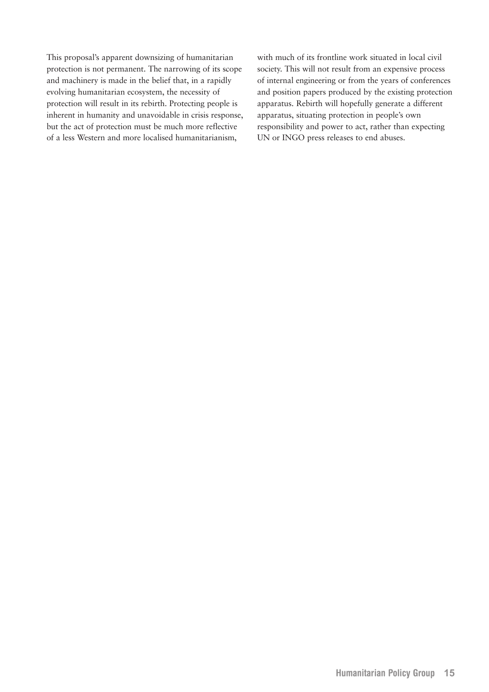This proposal's apparent downsizing of humanitarian protection is not permanent. The narrowing of its scope and machinery is made in the belief that, in a rapidly evolving humanitarian ecosystem, the necessity of protection will result in its rebirth. Protecting people is inherent in humanity and unavoidable in crisis response, but the act of protection must be much more reflective of a less Western and more localised humanitarianism,

with much of its frontline work situated in local civil society. This will not result from an expensive process of internal engineering or from the years of conferences and position papers produced by the existing protection apparatus. Rebirth will hopefully generate a different apparatus, situating protection in people's own responsibility and power to act, rather than expecting UN or INGO press releases to end abuses.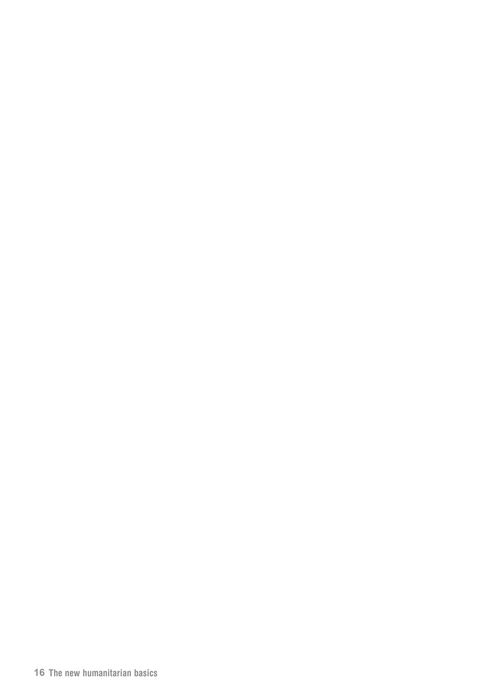**The new humanitarian basics**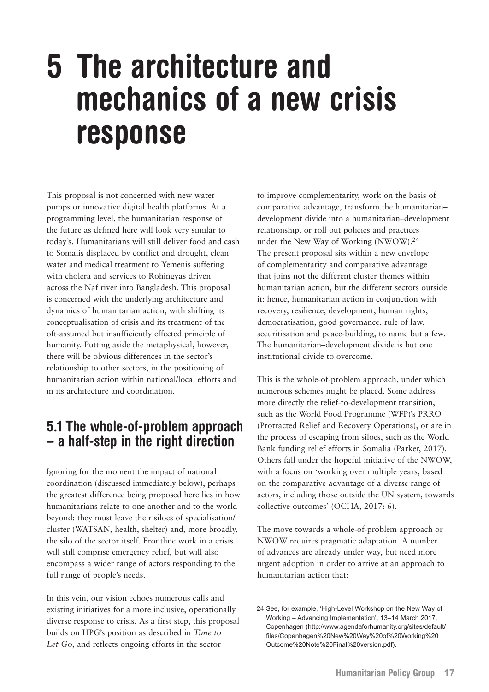## <span id="page-20-0"></span>**5 The architecture and mechanics of a new crisis response**

This proposal is not concerned with new water pumps or innovative digital health platforms. At a programming level, the humanitarian response of the future as defined here will look very similar to today's. Humanitarians will still deliver food and cash to Somalis displaced by conflict and drought, clean water and medical treatment to Yemenis suffering with cholera and services to Rohingyas driven across the Naf river into Bangladesh. This proposal is concerned with the underlying architecture and dynamics of humanitarian action, with shifting its conceptualisation of crisis and its treatment of the oft-assumed but insufficiently effected principle of humanity. Putting aside the metaphysical, however, there will be obvious differences in the sector's relationship to other sectors, in the positioning of humanitarian action within national/local efforts and in its architecture and coordination.

### **5.1 The whole-of-problem approach – a half-step in the right direction**

Ignoring for the moment the impact of national coordination (discussed immediately below), perhaps the greatest difference being proposed here lies in how humanitarians relate to one another and to the world beyond: they must leave their siloes of specialisation/ cluster (WATSAN, health, shelter) and, more broadly, the silo of the sector itself. Frontline work in a crisis will still comprise emergency relief, but will also encompass a wider range of actors responding to the full range of people's needs.

In this vein, our vision echoes numerous calls and existing initiatives for a more inclusive, operationally diverse response to crisis. As a first step, this proposal builds on HPG's position as described in *Time to Let Go*, and reflects ongoing efforts in the sector

to improve complementarity, work on the basis of comparative advantage, transform the humanitarian– development divide into a humanitarian–development relationship, or roll out policies and practices under the New Way of Working (NWOW).24 The present proposal sits within a new envelope of complementarity and comparative advantage that joins not the different cluster themes within humanitarian action, but the different sectors outside it: hence, humanitarian action in conjunction with recovery, resilience, development, human rights, democratisation, good governance, rule of law, securitisation and peace-building, to name but a few. The humanitarian–development divide is but one institutional divide to overcome.

This is the whole-of-problem approach, under which numerous schemes might be placed. Some address more directly the relief-to-development transition, such as the World Food Programme (WFP)'s PRRO (Protracted Relief and Recovery Operations), or are in the process of escaping from siloes, such as the World Bank funding relief efforts in Somalia (Parker, 2017). Others fall under the hopeful initiative of the NWOW, with a focus on 'working over multiple years, based on the comparative advantage of a diverse range of actors, including those outside the UN system, towards collective outcomes' (OCHA, 2017: 6).

The move towards a whole-of-problem approach or NWOW requires pragmatic adaptation. A number of advances are already under way, but need more urgent adoption in order to arrive at an approach to humanitarian action that:

<sup>24</sup> See, for example, 'High-Level Workshop on the New Way of Working – Advancing Implementation', 13–14 March 2017, Copenhagen (http://www.agendaforhumanity.org/sites/default/ files/Copenhagen%20New%20Way%20of%20Working%20 Outcome%20Note%20Final%20version.pdf).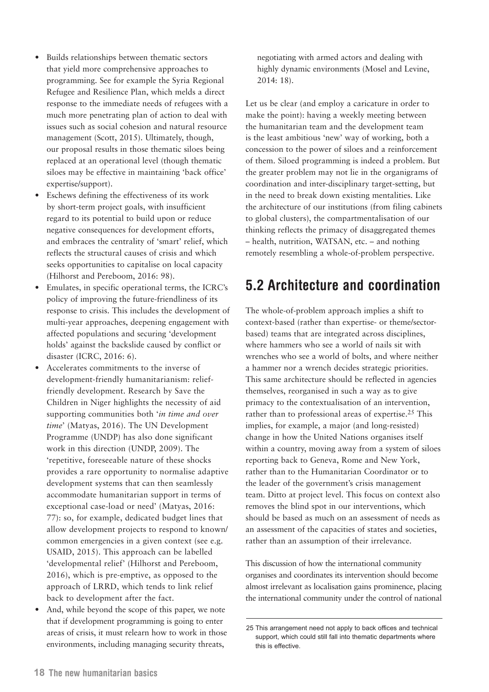- <span id="page-21-0"></span>• Builds relationships between thematic sectors that yield more comprehensive approaches to programming. See for example the Syria Regional Refugee and Resilience Plan, which melds a direct response to the immediate needs of refugees with a much more penetrating plan of action to deal with issues such as social cohesion and natural resource management (Scott, 2015). Ultimately, though, our proposal results in those thematic siloes being replaced at an operational level (though thematic siloes may be effective in maintaining 'back office' expertise/support).
- Eschews defining the effectiveness of its work by short-term project goals, with insufficient regard to its potential to build upon or reduce negative consequences for development efforts, and embraces the centrality of 'smart' relief, which reflects the structural causes of crisis and which seeks opportunities to capitalise on local capacity (Hilhorst and Pereboom, 2016: 98).
- Emulates, in specific operational terms, the ICRC's policy of improving the future-friendliness of its response to crisis. This includes the development of multi-year approaches, deepening engagement with affected populations and securing 'development holds' against the backslide caused by conflict or disaster (ICRC, 2016: 6).
- Accelerates commitments to the inverse of development-friendly humanitarianism: relieffriendly development. Research by Save the Children in Niger highlights the necessity of aid supporting communities both '*in time and over time*' (Matyas, 2016). The UN Development Programme (UNDP) has also done significant work in this direction (UNDP, 2009). The 'repetitive, foreseeable nature of these shocks provides a rare opportunity to normalise adaptive development systems that can then seamlessly accommodate humanitarian support in terms of exceptional case-load or need' (Matyas, 2016: 77): so, for example, dedicated budget lines that allow development projects to respond to known/ common emergencies in a given context (see e.g. USAID, 2015). This approach can be labelled 'developmental relief' (Hilhorst and Pereboom, 2016), which is pre-emptive, as opposed to the approach of LRRD, which tends to link relief back to development after the fact.
- And, while beyond the scope of this paper, we note that if development programming is going to enter areas of crisis, it must relearn how to work in those environments, including managing security threats,

negotiating with armed actors and dealing with highly dynamic environments (Mosel and Levine, 2014: 18).

Let us be clear (and employ a caricature in order to make the point): having a weekly meeting between the humanitarian team and the development team is the least ambitious 'new' way of working, both a concession to the power of siloes and a reinforcement of them. Siloed programming is indeed a problem. But the greater problem may not lie in the organigrams of coordination and inter-disciplinary target-setting, but in the need to break down existing mentalities. Like the architecture of our institutions (from filing cabinets to global clusters), the compartmentalisation of our thinking reflects the primacy of disaggregated themes – health, nutrition, WATSAN, etc. – and nothing remotely resembling a whole-of-problem perspective.

### **5.2 Architecture and coordination**

The whole-of-problem approach implies a shift to context-based (rather than expertise- or theme/sectorbased) teams that are integrated across disciplines, where hammers who see a world of nails sit with wrenches who see a world of bolts, and where neither a hammer nor a wrench decides strategic priorities. This same architecture should be reflected in agencies themselves, reorganised in such a way as to give primacy to the contextualisation of an intervention, rather than to professional areas of expertise.<sup>25</sup> This implies, for example, a major (and long-resisted) change in how the United Nations organises itself within a country, moving away from a system of siloes reporting back to Geneva, Rome and New York, rather than to the Humanitarian Coordinator or to the leader of the government's crisis management team. Ditto at project level. This focus on context also removes the blind spot in our interventions, which should be based as much on an assessment of needs as an assessment of the capacities of states and societies, rather than an assumption of their irrelevance.

This discussion of how the international community organises and coordinates its intervention should become almost irrelevant as localisation gains prominence, placing the international community under the control of national

<sup>25</sup> This arrangement need not apply to back offices and technical support, which could still fall into thematic departments where this is effective.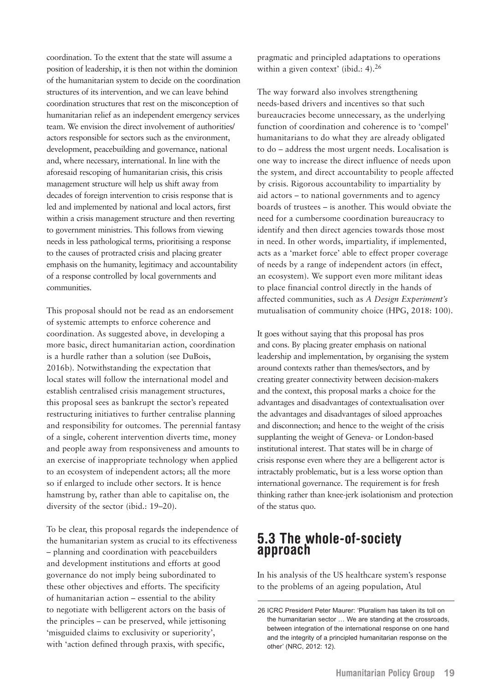<span id="page-22-0"></span>coordination. To the extent that the state will assume a position of leadership, it is then not within the dominion of the humanitarian system to decide on the coordination structures of its intervention, and we can leave behind coordination structures that rest on the misconception of humanitarian relief as an independent emergency services team. We envision the direct involvement of authorities/ actors responsible for sectors such as the environment, development, peacebuilding and governance, national and, where necessary, international. In line with the aforesaid rescoping of humanitarian crisis, this crisis management structure will help us shift away from decades of foreign intervention to crisis response that is led and implemented by national and local actors, first within a crisis management structure and then reverting to government ministries. This follows from viewing needs in less pathological terms, prioritising a response to the causes of protracted crisis and placing greater emphasis on the humanity, legitimacy and accountability of a response controlled by local governments and communities.

This proposal should not be read as an endorsement of systemic attempts to enforce coherence and coordination. As suggested above, in developing a more basic, direct humanitarian action, coordination is a hurdle rather than a solution (see DuBois, 2016b). Notwithstanding the expectation that local states will follow the international model and establish centralised crisis management structures, this proposal sees as bankrupt the sector's repeated restructuring initiatives to further centralise planning and responsibility for outcomes. The perennial fantasy of a single, coherent intervention diverts time, money and people away from responsiveness and amounts to an exercise of inappropriate technology when applied to an ecosystem of independent actors; all the more so if enlarged to include other sectors. It is hence hamstrung by, rather than able to capitalise on, the diversity of the sector (ibid.: 19–20).

To be clear, this proposal regards the independence of the humanitarian system as crucial to its effectiveness – planning and coordination with peacebuilders and development institutions and efforts at good governance do not imply being subordinated to these other objectives and efforts. The specificity of humanitarian action – essential to the ability to negotiate with belligerent actors on the basis of the principles – can be preserved, while jettisoning 'misguided claims to exclusivity or superiority', with 'action defined through praxis, with specific,

pragmatic and principled adaptations to operations within a given context' (ibid.: 4).<sup>26</sup>

The way forward also involves strengthening needs-based drivers and incentives so that such bureaucracies become unnecessary, as the underlying function of coordination and coherence is to 'compel' humanitarians to do what they are already obligated to do – address the most urgent needs. Localisation is one way to increase the direct influence of needs upon the system, and direct accountability to people affected by crisis. Rigorous accountability to impartiality by aid actors – to national governments and to agency boards of trustees – is another. This would obviate the need for a cumbersome coordination bureaucracy to identify and then direct agencies towards those most in need. In other words, impartiality, if implemented, acts as a 'market force' able to effect proper coverage of needs by a range of independent actors (in effect, an ecosystem). We support even more militant ideas to place financial control directly in the hands of affected communities, such as *A Design Experiment's* mutualisation of community choice (HPG, 2018: 100).

It goes without saying that this proposal has pros and cons. By placing greater emphasis on national leadership and implementation, by organising the system around contexts rather than themes/sectors, and by creating greater connectivity between decision-makers and the context, this proposal marks a choice for the advantages and disadvantages of contextualisation over the advantages and disadvantages of siloed approaches and disconnection; and hence to the weight of the crisis supplanting the weight of Geneva- or London-based institutional interest. That states will be in charge of crisis response even where they are a belligerent actor is intractably problematic, but is a less worse option than international governance. The requirement is for fresh thinking rather than knee-jerk isolationism and protection of the status quo.

#### **5.3 The whole-of-society approach**

In his analysis of the US healthcare system's response to the problems of an ageing population, Atul

<sup>26</sup> ICRC President Peter Maurer: 'Pluralism has taken its toll on the humanitarian sector … We are standing at the crossroads, between integration of the international response on one hand and the integrity of a principled humanitarian response on the other' (NRC, 2012: 12).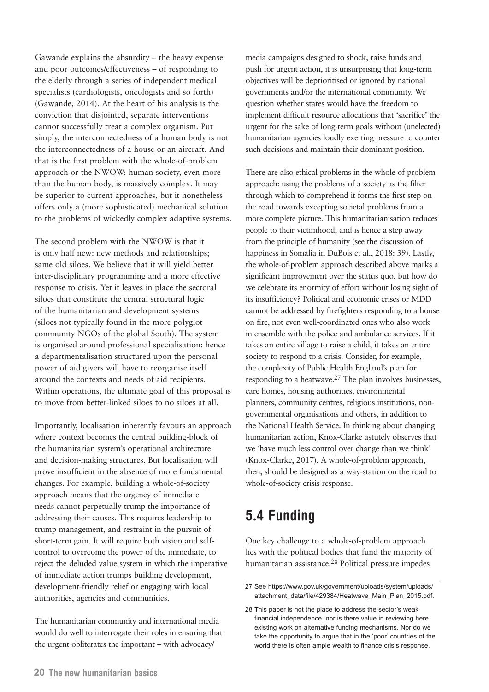<span id="page-23-0"></span>Gawande explains the absurdity – the heavy expense and poor outcomes/effectiveness – of responding to the elderly through a series of independent medical specialists (cardiologists, oncologists and so forth) (Gawande, 2014). At the heart of his analysis is the conviction that disjointed, separate interventions cannot successfully treat a complex organism. Put simply, the interconnectedness of a human body is not the interconnectedness of a house or an aircraft. And that is the first problem with the whole-of-problem approach or the NWOW: human society, even more than the human body, is massively complex. It may be superior to current approaches, but it nonetheless offers only a (more sophisticated) mechanical solution to the problems of wickedly complex adaptive systems.

The second problem with the NWOW is that it is only half new: new methods and relationships; same old siloes. We believe that it will yield better inter-disciplinary programming and a more effective response to crisis. Yet it leaves in place the sectoral siloes that constitute the central structural logic of the humanitarian and development systems (siloes not typically found in the more polyglot community NGOs of the global South). The system is organised around professional specialisation: hence a departmentalisation structured upon the personal power of aid givers will have to reorganise itself around the contexts and needs of aid recipients. Within operations, the ultimate goal of this proposal is to move from better-linked siloes to no siloes at all.

Importantly, localisation inherently favours an approach where context becomes the central building-block of the humanitarian system's operational architecture and decision-making structures. But localisation will prove insufficient in the absence of more fundamental changes. For example, building a whole-of-society approach means that the urgency of immediate needs cannot perpetually trump the importance of addressing their causes. This requires leadership to trump management, and restraint in the pursuit of short-term gain. It will require both vision and selfcontrol to overcome the power of the immediate, to reject the deluded value system in which the imperative of immediate action trumps building development, development-friendly relief or engaging with local authorities, agencies and communities.

The humanitarian community and international media would do well to interrogate their roles in ensuring that the urgent obliterates the important – with advocacy/

media campaigns designed to shock, raise funds and push for urgent action, it is unsurprising that long-term objectives will be deprioritised or ignored by national governments and/or the international community. We question whether states would have the freedom to implement difficult resource allocations that 'sacrifice' the urgent for the sake of long-term goals without (unelected) humanitarian agencies loudly exerting pressure to counter such decisions and maintain their dominant position.

There are also ethical problems in the whole-of-problem approach: using the problems of a society as the filter through which to comprehend it forms the first step on the road towards excepting societal problems from a more complete picture. This humanitarianisation reduces people to their victimhood, and is hence a step away from the principle of humanity (see the discussion of happiness in Somalia in DuBois et al., 2018: 39). Lastly, the whole-of-problem approach described above marks a significant improvement over the status quo, but how do we celebrate its enormity of effort without losing sight of its insufficiency? Political and economic crises or MDD cannot be addressed by firefighters responding to a house on fire, not even well-coordinated ones who also work in ensemble with the police and ambulance services. If it takes an entire village to raise a child, it takes an entire society to respond to a crisis. Consider, for example, the complexity of Public Health England's plan for responding to a heatwave.<sup>27</sup> The plan involves businesses, care homes, housing authorities, environmental planners, community centres, religious institutions, nongovernmental organisations and others, in addition to the National Health Service. In thinking about changing humanitarian action, Knox-Clarke astutely observes that we 'have much less control over change than we think' (Knox-Clarke, 2017). A whole-of-problem approach, then, should be designed as a way-station on the road to whole-of-society crisis response.

### **5.4 Funding**

One key challenge to a whole-of-problem approach lies with the political bodies that fund the majority of humanitarian assistance.28 Political pressure impedes

<sup>27</sup> See https://www.gov.uk/government/uploads/system/uploads/ attachment\_data/file/429384/Heatwave\_Main\_Plan\_2015.pdf.

<sup>28</sup> This paper is not the place to address the sector's weak financial independence, nor is there value in reviewing here existing work on alternative funding mechanisms. Nor do we take the opportunity to argue that in the 'poor' countries of the world there is often ample wealth to finance crisis response.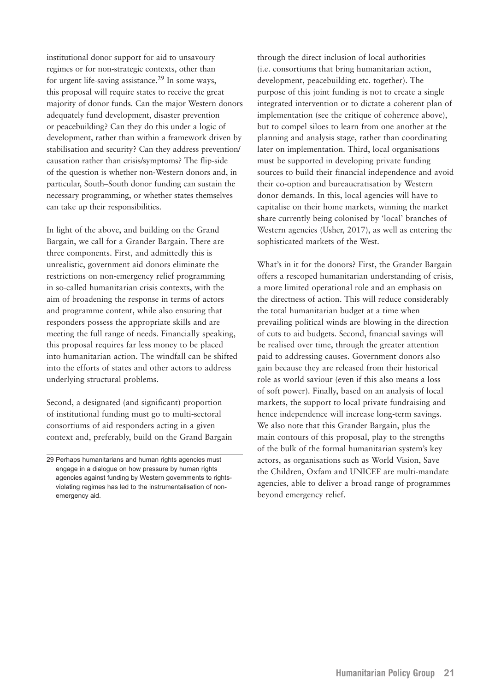institutional donor support for aid to unsavoury regimes or for non-strategic contexts, other than for urgent life-saving assistance.29 In some ways, this proposal will require states to receive the great majority of donor funds. Can the major Western donors adequately fund development, disaster prevention or peacebuilding? Can they do this under a logic of development, rather than within a framework driven by stabilisation and security? Can they address prevention/ causation rather than crisis/symptoms? The flip-side of the question is whether non-Western donors and, in particular, South–South donor funding can sustain the necessary programming, or whether states themselves can take up their responsibilities.

In light of the above, and building on the Grand Bargain, we call for a Grander Bargain. There are three components. First, and admittedly this is unrealistic, government aid donors eliminate the restrictions on non-emergency relief programming in so-called humanitarian crisis contexts, with the aim of broadening the response in terms of actors and programme content, while also ensuring that responders possess the appropriate skills and are meeting the full range of needs. Financially speaking, this proposal requires far less money to be placed into humanitarian action. The windfall can be shifted into the efforts of states and other actors to address underlying structural problems.

Second, a designated (and significant) proportion of institutional funding must go to multi-sectoral consortiums of aid responders acting in a given context and, preferably, build on the Grand Bargain

through the direct inclusion of local authorities (i.e. consortiums that bring humanitarian action, development, peacebuilding etc. together). The purpose of this joint funding is not to create a single integrated intervention or to dictate a coherent plan of implementation (see the critique of coherence above), but to compel siloes to learn from one another at the planning and analysis stage, rather than coordinating later on implementation. Third, local organisations must be supported in developing private funding sources to build their financial independence and avoid their co-option and bureaucratisation by Western donor demands. In this, local agencies will have to capitalise on their home markets, winning the market share currently being colonised by 'local' branches of Western agencies (Usher, 2017), as well as entering the sophisticated markets of the West.

What's in it for the donors? First, the Grander Bargain offers a rescoped humanitarian understanding of crisis, a more limited operational role and an emphasis on the directness of action. This will reduce considerably the total humanitarian budget at a time when prevailing political winds are blowing in the direction of cuts to aid budgets. Second, financial savings will be realised over time, through the greater attention paid to addressing causes. Government donors also gain because they are released from their historical role as world saviour (even if this also means a loss of soft power). Finally, based on an analysis of local markets, the support to local private fundraising and hence independence will increase long-term savings. We also note that this Grander Bargain, plus the main contours of this proposal, play to the strengths of the bulk of the formal humanitarian system's key actors, as organisations such as World Vision, Save the Children, Oxfam and UNICEF are multi-mandate agencies, able to deliver a broad range of programmes beyond emergency relief.

<sup>29</sup> Perhaps humanitarians and human rights agencies must engage in a dialogue on how pressure by human rights agencies against funding by Western governments to rightsviolating regimes has led to the instrumentalisation of nonemergency aid.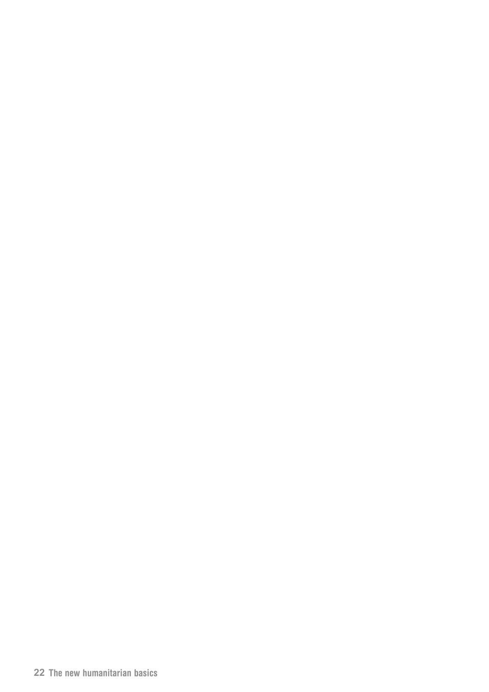**The new humanitarian basics**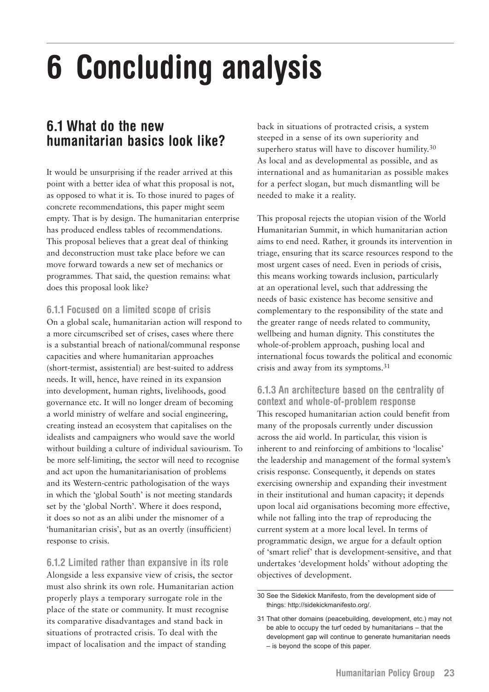# <span id="page-26-0"></span>**6 Concluding analysis**

### **6.1 What do the new humanitarian basics look like?**

It would be unsurprising if the reader arrived at this point with a better idea of what this proposal is not, as opposed to what it is. To those inured to pages of concrete recommendations, this paper might seem empty. That is by design. The humanitarian enterprise has produced endless tables of recommendations. This proposal believes that a great deal of thinking and deconstruction must take place before we can move forward towards a new set of mechanics or programmes. That said, the question remains: what does this proposal look like?

**6.1.1 Focused on a limited scope of crisis**

On a global scale, humanitarian action will respond to a more circumscribed set of crises, cases where there is a substantial breach of national/communal response capacities and where humanitarian approaches (short-termist, assistential) are best-suited to address needs. It will, hence, have reined in its expansion into development, human rights, livelihoods, good governance etc. It will no longer dream of becoming a world ministry of welfare and social engineering, creating instead an ecosystem that capitalises on the idealists and campaigners who would save the world without building a culture of individual saviourism. To be more self-limiting, the sector will need to recognise and act upon the humanitarianisation of problems and its Western-centric pathologisation of the ways in which the 'global South' is not meeting standards set by the 'global North'. Where it does respond, it does so not as an alibi under the misnomer of a 'humanitarian crisis', but as an overtly (insufficient) response to crisis.

**6.1.2 Limited rather than expansive in its role** Alongside a less expansive view of crisis, the sector must also shrink its own role. Humanitarian action properly plays a temporary surrogate role in the place of the state or community. It must recognise its comparative disadvantages and stand back in situations of protracted crisis. To deal with the impact of localisation and the impact of standing

back in situations of protracted crisis, a system steeped in a sense of its own superiority and superhero status will have to discover humility.<sup>30</sup> As local and as developmental as possible, and as international and as humanitarian as possible makes for a perfect slogan, but much dismantling will be needed to make it a reality.

This proposal rejects the utopian vision of the World Humanitarian Summit, in which humanitarian action aims to end need. Rather, it grounds its intervention in triage, ensuring that its scarce resources respond to the most urgent cases of need. Even in periods of crisis, this means working towards inclusion, particularly at an operational level, such that addressing the needs of basic existence has become sensitive and complementary to the responsibility of the state and the greater range of needs related to community, wellbeing and human dignity. This constitutes the whole-of-problem approach, pushing local and international focus towards the political and economic crisis and away from its symptoms.31

#### **6.1.3 An architecture based on the centrality of context and whole-of-problem response**

This rescoped humanitarian action could benefit from many of the proposals currently under discussion across the aid world. In particular, this vision is inherent to and reinforcing of ambitions to 'localise' the leadership and management of the formal system's crisis response. Consequently, it depends on states exercising ownership and expanding their investment in their institutional and human capacity; it depends upon local aid organisations becoming more effective, while not falling into the trap of reproducing the current system at a more local level. In terms of programmatic design, we argue for a default option of 'smart relief' that is development-sensitive, and that undertakes 'development holds' without adopting the objectives of development.

<sup>30</sup> See the Sidekick Manifesto, from the development side of things: http://sidekickmanifesto.org/.

<sup>31</sup> That other domains (peacebuilding, development, etc.) may not be able to occupy the turf ceded by humanitarians – that the development gap will continue to generate humanitarian needs – is beyond the scope of this paper.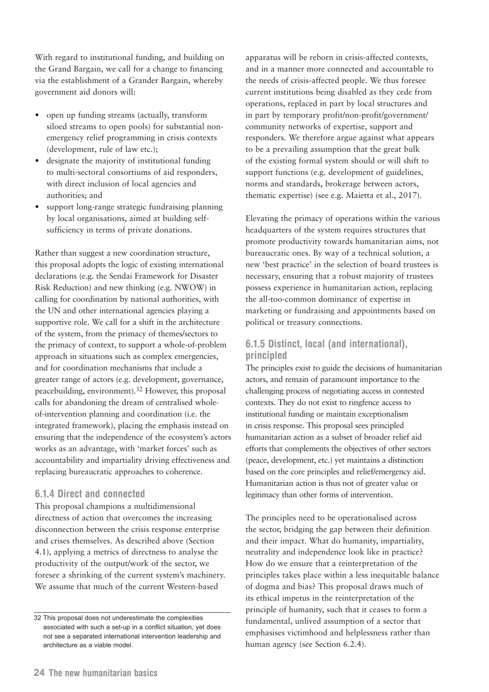With regard to institutional funding, and building on the Grand Bargain, we call for a change to financing via the establishment of a Grander Bargain, whereby government aid donors will:

- open up funding streams (actually, transform siloed streams to open pools) for substantial nonemergency relief programming in crisis contexts (development, rule of law etc.);
- designate the majority of institutional funding to multi-sectoral consortiums of aid responders, with direct inclusion of local agencies and authorities; and
- support long-range strategic fundraising planning by local organisations, aimed at building selfsufficiency in terms of private donations.

Rather than suggest a new coordination structure, this proposal adopts the logic of existing international declarations (e.g. the Sendai Framework for Disaster Risk Reduction) and new thinking (e.g. NWOW) in calling for coordination by national authorities, with the UN and other international agencies playing a supportive role. We call for a shift in the architecture of the system, from the primacy of themes/sectors to the primacy of context, to support a whole-of-problem approach in situations such as complex emergencies, and for coordination mechanisms that include a greater range of actors (e.g. development, governance, peacebuilding, environment).32 However, this proposal calls for abandoning the dream of centralised wholeof-intervention planning and coordination (i.e. the integrated framework), placing the emphasis instead on ensuring that the independence of the ecosystem's actors works as an advantage, with 'market forces' such as accountability and impartiality driving effectiveness and replacing bureaucratic approaches to coherence.

#### **6.1.4 Direct and connected**

This proposal champions a multidimensional directness of action that overcomes the increasing disconnection between the crisis response enterprise and crises themselves. As described above (Section 4.1), applying a metrics of directness to analyse the productivity of the output/work of the sector, we foresee a shrinking of the current system's machinery. We assume that much of the current Western-based

apparatus will be reborn in crisis-affected contexts, and in a manner more connected and accountable to the needs of crisis-affected people. We thus foresee current institutions being disabled as they cede from operations, replaced in part by local structures and in part by temporary profit/non-profit/government/ community networks of expertise, support and responders. We therefore argue against what appears to be a prevailing assumption that the great bulk of the existing formal system should or will shift to support functions (e.g. development of guidelines, norms and standards, brokerage between actors, thematic expertise) (see e.g. Maietta et al., 2017).

Elevating the primacy of operations within the various headquarters of the system requires structures that promote productivity towards humanitarian aims, not bureaucratic ones. By way of a technical solution, a new 'best practice' in the selection of board trustees is necessary, ensuring that a robust majority of trustees possess experience in humanitarian action, replacing the all-too-common dominance of expertise in marketing or fundraising and appointments based on political or treasury connections.

#### **6.1.5 Distinct, local (and international), principled**

The principles exist to guide the decisions of humanitarian actors, and remain of paramount importance to the challenging process of negotiating access in contested contexts. They do not exist to ringfence access to institutional funding or maintain exceptionalism in crisis response. This proposal sees principled humanitarian action as a subset of broader relief aid efforts that complements the objectives of other sectors (peace, development, etc.) yet maintains a distinction based on the core principles and relief/emergency aid. Humanitarian action is thus not of greater value or legitimacy than other forms of intervention.

The principles need to be operationalised across the sector, bridging the gap between their definition and their impact. What do humanity, impartiality, neutrality and independence look like in practice? How do we ensure that a reinterpretation of the principles takes place within a less inequitable balance of dogma and bias? This proposal draws much of its ethical impetus in the reinterpretation of the principle of humanity, such that it ceases to form a fundamental, unlived assumption of a sector that emphasises victimhood and helplessness rather than human agency (see Section 6.2.4).

<sup>32</sup> This proposal does not underestimate the complexities associated with such a set-up in a conflict situation, yet does not see a separated international intervention leadership and architecture as a viable model.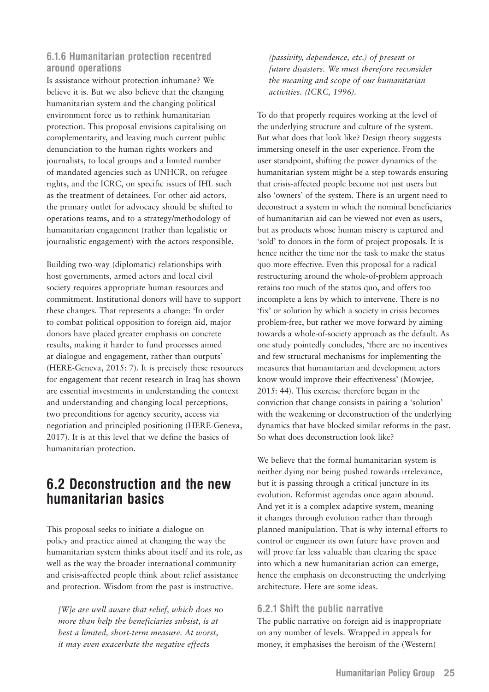#### <span id="page-28-0"></span>**6.1.6 Humanitarian protection recentred around operations**

Is assistance without protection inhumane? We believe it is. But we also believe that the changing humanitarian system and the changing political environment force us to rethink humanitarian protection. This proposal envisions capitalising on complementarity, and leaving much current public denunciation to the human rights workers and journalists, to local groups and a limited number of mandated agencies such as UNHCR, on refugee rights, and the ICRC, on specific issues of IHL such as the treatment of detainees. For other aid actors, the primary outlet for advocacy should be shifted to operations teams, and to a strategy/methodology of humanitarian engagement (rather than legalistic or journalistic engagement) with the actors responsible.

Building two-way (diplomatic) relationships with host governments, armed actors and local civil society requires appropriate human resources and commitment. Institutional donors will have to support these changes. That represents a change: 'In order to combat political opposition to foreign aid, major donors have placed greater emphasis on concrete results, making it harder to fund processes aimed at dialogue and engagement, rather than outputs' (HERE-Geneva, 2015: 7). It is precisely these resources for engagement that recent research in Iraq has shown are essential investments in understanding the context and understanding and changing local perceptions, two preconditions for agency security, access via negotiation and principled positioning (HERE-Geneva, 2017). It is at this level that we define the basics of humanitarian protection.

#### **6.2 Deconstruction and the new humanitarian basics**

This proposal seeks to initiate a dialogue on policy and practice aimed at changing the way the humanitarian system thinks about itself and its role, as well as the way the broader international community and crisis-affected people think about relief assistance and protection. Wisdom from the past is instructive.

*[W]e are well aware that relief, which does no more than help the beneficiaries subsist, is at best a limited, short-term measure. At worst, it may even exacerbate the negative effects* 

*(passivity, dependence, etc.) of present or future disasters. We must therefore reconsider the meaning and scope of our humanitarian activities. (ICRC, 1996).*

To do that properly requires working at the level of the underlying structure and culture of the system. But what does that look like? Design theory suggests immersing oneself in the user experience. From the user standpoint, shifting the power dynamics of the humanitarian system might be a step towards ensuring that crisis-affected people become not just users but also 'owners' of the system. There is an urgent need to deconstruct a system in which the nominal beneficiaries of humanitarian aid can be viewed not even as users, but as products whose human misery is captured and 'sold' to donors in the form of project proposals. It is hence neither the time nor the task to make the status quo more effective. Even this proposal for a radical restructuring around the whole-of-problem approach retains too much of the status quo, and offers too incomplete a lens by which to intervene. There is no 'fix' or solution by which a society in crisis becomes problem-free, but rather we move forward by aiming towards a whole-of-society approach as the default. As one study pointedly concludes, 'there are no incentives and few structural mechanisms for implementing the measures that humanitarian and development actors know would improve their effectiveness' (Mowjee, 2015: 44). This exercise therefore began in the conviction that change consists in pairing a 'solution' with the weakening or deconstruction of the underlying dynamics that have blocked similar reforms in the past. So what does deconstruction look like?

We believe that the formal humanitarian system is neither dying nor being pushed towards irrelevance, but it is passing through a critical juncture in its evolution. Reformist agendas once again abound. And yet it is a complex adaptive system, meaning it changes through evolution rather than through planned manipulation. That is why internal efforts to control or engineer its own future have proven and will prove far less valuable than clearing the space into which a new humanitarian action can emerge, hence the emphasis on deconstructing the underlying architecture. Here are some ideas.

#### **6.2.1 Shift the public narrative**

The public narrative on foreign aid is inappropriate on any number of levels. Wrapped in appeals for money, it emphasises the heroism of the (Western)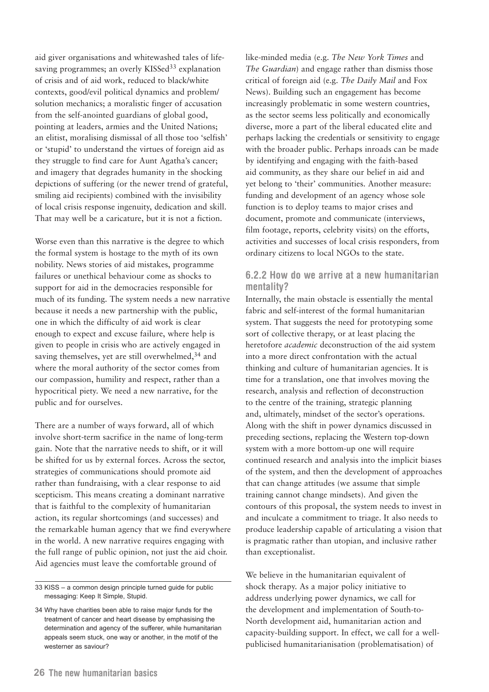aid giver organisations and whitewashed tales of lifesaving programmes; an overly KISSed<sup>33</sup> explanation of crisis and of aid work, reduced to black/white contexts, good/evil political dynamics and problem/ solution mechanics; a moralistic finger of accusation from the self-anointed guardians of global good, pointing at leaders, armies and the United Nations; an elitist, moralising dismissal of all those too 'selfish' or 'stupid' to understand the virtues of foreign aid as they struggle to find care for Aunt Agatha's cancer; and imagery that degrades humanity in the shocking depictions of suffering (or the newer trend of grateful, smiling aid recipients) combined with the invisibility of local crisis response ingenuity, dedication and skill. That may well be a caricature, but it is not a fiction.

Worse even than this narrative is the degree to which the formal system is hostage to the myth of its own nobility. News stories of aid mistakes, programme failures or unethical behaviour come as shocks to support for aid in the democracies responsible for much of its funding. The system needs a new narrative because it needs a new partnership with the public, one in which the difficulty of aid work is clear enough to expect and excuse failure, where help is given to people in crisis who are actively engaged in saving themselves, yet are still overwhelmed,<sup>34</sup> and where the moral authority of the sector comes from our compassion, humility and respect, rather than a hypocritical piety. We need a new narrative, for the public and for ourselves.

There are a number of ways forward, all of which involve short-term sacrifice in the name of long-term gain. Note that the narrative needs to shift, or it will be shifted for us by external forces. Across the sector, strategies of communications should promote aid rather than fundraising, with a clear response to aid scepticism. This means creating a dominant narrative that is faithful to the complexity of humanitarian action, its regular shortcomings (and successes) and the remarkable human agency that we find everywhere in the world. A new narrative requires engaging with the full range of public opinion, not just the aid choir. Aid agencies must leave the comfortable ground of

like-minded media (e.g. *The New York Times* and *The Guardian*) and engage rather than dismiss those critical of foreign aid (e.g. *The Daily Mail* and Fox News). Building such an engagement has become increasingly problematic in some western countries, as the sector seems less politically and economically diverse, more a part of the liberal educated elite and perhaps lacking the credentials or sensitivity to engage with the broader public. Perhaps inroads can be made by identifying and engaging with the faith-based aid community, as they share our belief in aid and yet belong to 'their' communities. Another measure: funding and development of an agency whose sole function is to deploy teams to major crises and document, promote and communicate (interviews, film footage, reports, celebrity visits) on the efforts, activities and successes of local crisis responders, from ordinary citizens to local NGOs to the state.

#### **6.2.2 How do we arrive at a new humanitarian mentality?**

Internally, the main obstacle is essentially the mental fabric and self-interest of the formal humanitarian system. That suggests the need for prototyping some sort of collective therapy, or at least placing the heretofore *academic* deconstruction of the aid system into a more direct confrontation with the actual thinking and culture of humanitarian agencies. It is time for a translation, one that involves moving the research, analysis and reflection of deconstruction to the centre of the training, strategic planning and, ultimately, mindset of the sector's operations. Along with the shift in power dynamics discussed in preceding sections, replacing the Western top-down system with a more bottom-up one will require continued research and analysis into the implicit biases of the system, and then the development of approaches that can change attitudes (we assume that simple training cannot change mindsets). And given the contours of this proposal, the system needs to invest in and inculcate a commitment to triage. It also needs to produce leadership capable of articulating a vision that is pragmatic rather than utopian, and inclusive rather than exceptionalist.

We believe in the humanitarian equivalent of shock therapy. As a major policy initiative to address underlying power dynamics, we call for the development and implementation of South-to-North development aid, humanitarian action and capacity-building support. In effect, we call for a wellpublicised humanitarianisation (problematisation) of

<sup>33</sup> KISS – a common design principle turned guide for public messaging: Keep It Simple, Stupid.

<sup>34</sup> Why have charities been able to raise major funds for the treatment of cancer and heart disease by emphasising the determination and agency of the sufferer, while humanitarian appeals seem stuck, one way or another, in the motif of the westerner as saviour?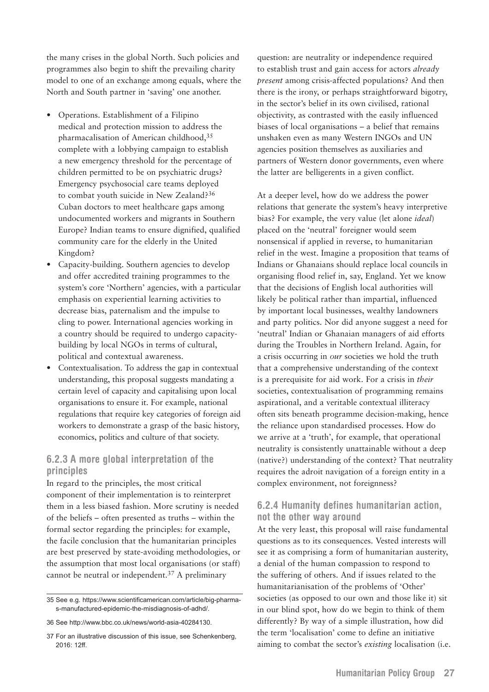the many crises in the global North. Such policies and programmes also begin to shift the prevailing charity model to one of an exchange among equals, where the North and South partner in 'saving' one another.

- Operations. Establishment of a Filipino medical and protection mission to address the pharmacalisation of American childhood,35 complete with a lobbying campaign to establish a new emergency threshold for the percentage of children permitted to be on psychiatric drugs? Emergency psychosocial care teams deployed to combat youth suicide in New Zealand?36 Cuban doctors to meet healthcare gaps among undocumented workers and migrants in Southern Europe? Indian teams to ensure dignified, qualified community care for the elderly in the United Kingdom?
- Capacity-building. Southern agencies to develop and offer accredited training programmes to the system's core 'Northern' agencies, with a particular emphasis on experiential learning activities to decrease bias, paternalism and the impulse to cling to power. International agencies working in a country should be required to undergo capacitybuilding by local NGOs in terms of cultural, political and contextual awareness.
- Contextualisation. To address the gap in contextual understanding, this proposal suggests mandating a certain level of capacity and capitalising upon local organisations to ensure it. For example, national regulations that require key categories of foreign aid workers to demonstrate a grasp of the basic history, economics, politics and culture of that society.

#### **6.2.3 A more global interpretation of the principles**

In regard to the principles, the most critical component of their implementation is to reinterpret them in a less biased fashion. More scrutiny is needed of the beliefs – often presented as truths – within the formal sector regarding the principles: for example, the facile conclusion that the humanitarian principles are best preserved by state-avoiding methodologies, or the assumption that most local organisations (or staff) cannot be neutral or independent.37 A preliminary

question: are neutrality or independence required to establish trust and gain access for actors *already present* among crisis-affected populations? And then there is the irony, or perhaps straightforward bigotry, in the sector's belief in its own civilised, rational objectivity, as contrasted with the easily influenced biases of local organisations – a belief that remains unshaken even as many Western INGOs and UN agencies position themselves as auxiliaries and partners of Western donor governments, even where the latter are belligerents in a given conflict.

At a deeper level, how do we address the power relations that generate the system's heavy interpretive bias? For example, the very value (let alone *ideal*) placed on the 'neutral' foreigner would seem nonsensical if applied in reverse, to humanitarian relief in the west. Imagine a proposition that teams of Indians or Ghanaians should replace local councils in organising flood relief in, say, England. Yet we know that the decisions of English local authorities will likely be political rather than impartial, influenced by important local businesses, wealthy landowners and party politics. Nor did anyone suggest a need for 'neutral' Indian or Ghanaian managers of aid efforts during the Troubles in Northern Ireland. Again, for a crisis occurring in *our* societies we hold the truth that a comprehensive understanding of the context is a prerequisite for aid work. For a crisis in *their*  societies, contextualisation of programming remains aspirational, and a veritable contextual illiteracy often sits beneath programme decision-making, hence the reliance upon standardised processes. How do we arrive at a 'truth', for example, that operational neutrality is consistently unattainable without a deep (native?) understanding of the context? That neutrality requires the adroit navigation of a foreign entity in a complex environment, not foreignness?

#### **6.2.4 Humanity defines humanitarian action, not the other way around**

At the very least, this proposal will raise fundamental questions as to its consequences. Vested interests will see it as comprising a form of humanitarian austerity, a denial of the human compassion to respond to the suffering of others. And if issues related to the humanitarianisation of the problems of 'Other' societies (as opposed to our own and those like it) sit in our blind spot, how do we begin to think of them differently? By way of a simple illustration, how did the term 'localisation' come to define an initiative aiming to combat the sector's *existing* localisation (i.e.

<sup>35</sup> See e.g. https://www.scientificamerican.com/article/big-pharmas-manufactured-epidemic-the-misdiagnosis-of-adhd/.

<sup>36</sup> See http://www.bbc.co.uk/news/world-asia-40284130.

<sup>37</sup> For an illustrative discussion of this issue, see Schenkenberg, 2016: 12ff.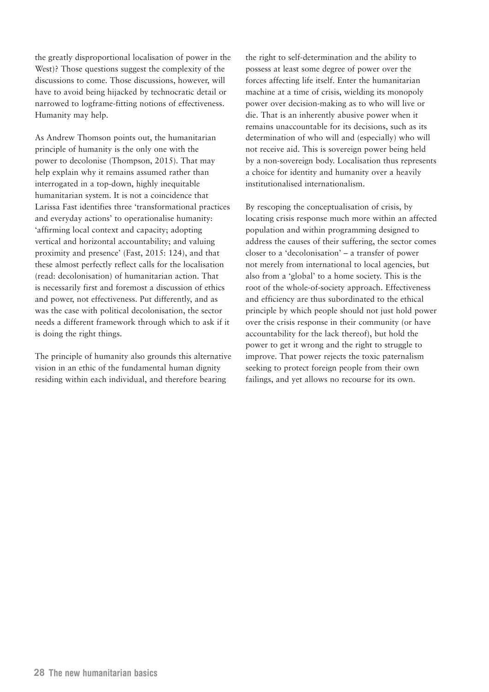the greatly disproportional localisation of power in the West)? Those questions suggest the complexity of the discussions to come. Those discussions, however, will have to avoid being hijacked by technocratic detail or narrowed to logframe-fitting notions of effectiveness. Humanity may help.

As Andrew Thomson points out, the humanitarian principle of humanity is the only one with the power to decolonise (Thompson, 2015). That may help explain why it remains assumed rather than interrogated in a top-down, highly inequitable humanitarian system. It is not a coincidence that Larissa Fast identifies three 'transformational practices and everyday actions' to operationalise humanity: 'affirming local context and capacity; adopting vertical and horizontal accountability; and valuing proximity and presence' (Fast, 2015: 124), and that these almost perfectly reflect calls for the localisation (read: decolonisation) of humanitarian action. That is necessarily first and foremost a discussion of ethics and power, not effectiveness. Put differently, and as was the case with political decolonisation, the sector needs a different framework through which to ask if it is doing the right things.

The principle of humanity also grounds this alternative vision in an ethic of the fundamental human dignity residing within each individual, and therefore bearing

the right to self-determination and the ability to possess at least some degree of power over the forces affecting life itself. Enter the humanitarian machine at a time of crisis, wielding its monopoly power over decision-making as to who will live or die. That is an inherently abusive power when it remains unaccountable for its decisions, such as its determination of who will and (especially) who will not receive aid. This is sovereign power being held by a non-sovereign body. Localisation thus represents a choice for identity and humanity over a heavily institutionalised internationalism.

By rescoping the conceptualisation of crisis, by locating crisis response much more within an affected population and within programming designed to address the causes of their suffering, the sector comes closer to a 'decolonisation' – a transfer of power not merely from international to local agencies, but also from a 'global' to a home society. This is the root of the whole-of-society approach. Effectiveness and efficiency are thus subordinated to the ethical principle by which people should not just hold power over the crisis response in their community (or have accountability for the lack thereof), but hold the power to get it wrong and the right to struggle to improve. That power rejects the toxic paternalism seeking to protect foreign people from their own failings, and yet allows no recourse for its own.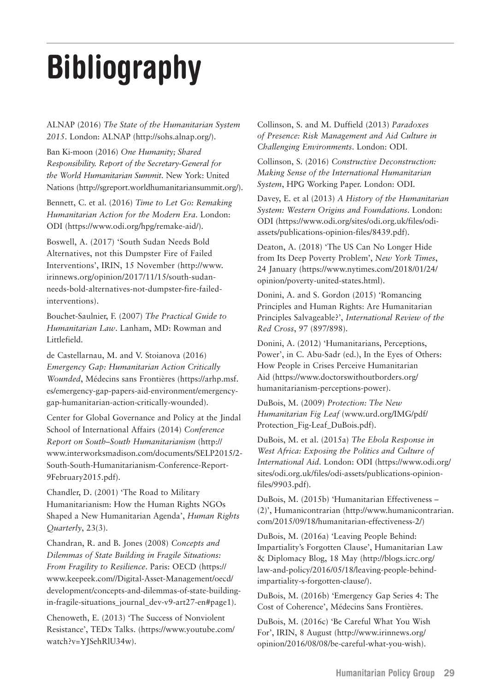## <span id="page-32-0"></span>**Bibliography**

ALNAP (2016) *The State of the Humanitarian System 2015*. London: ALNAP [\(http://sohs.alnap.org/](http://sohs.alnap.org/)).

Ban Ki-moon (2016) *One Humanity; Shared Responsibility. Report of the Secretary-General for the World Humanitarian Summit*. New York: United Nations [\(http://sgreport.worldhumanitariansummit.org/](http://sgreport.worldhumanitariansummit.org/)).

Bennett, C. et al. (2016) *Time to Let Go: Remaking Humanitarian Action for the Modern Era*. London: ODI ([https://www.odi.org/hpg/remake-aid/\)](https://www.odi.org/hpg/remake-aid/).

Boswell, A. (2017) 'South Sudan Needs Bold Alternatives, not this Dumpster Fire of Failed Interventions', IRIN, 15 November ([http://www.](http://www.irinnews.org/opinion/2017/11/15/south-sudan-needs-bold-alternatives-not-dumpster-fire-failed-interventions) [irinnews.org/opinion/2017/11/15/south-sudan](http://www.irinnews.org/opinion/2017/11/15/south-sudan-needs-bold-alternatives-not-dumpster-fire-failed-interventions)[needs-bold-alternatives-not-dumpster-fire-failed](http://www.irinnews.org/opinion/2017/11/15/south-sudan-needs-bold-alternatives-not-dumpster-fire-failed-interventions)[interventions](http://www.irinnews.org/opinion/2017/11/15/south-sudan-needs-bold-alternatives-not-dumpster-fire-failed-interventions)).

Bouchet-Saulnier, F. (2007) *The Practical Guide to Humanitarian Law*. Lanham, MD: Rowman and Littlefield.

de Castellarnau, M. and V. Stoianova (2016) *Emergency Gap: Humanitarian Action Critically Wounded*, Médecins sans Frontières [\(https://arhp.msf.](https://arhp.msf.es/emergency-gap-papers-aid-environment/emergency-gap-humanitarian-action-critically-wounded) [es/emergency-gap-papers-aid-environment/emergency](https://arhp.msf.es/emergency-gap-papers-aid-environment/emergency-gap-humanitarian-action-critically-wounded)[gap-humanitarian-action-critically-wounded\)](https://arhp.msf.es/emergency-gap-papers-aid-environment/emergency-gap-humanitarian-action-critically-wounded).

Center for Global Governance and Policy at the Jindal School of International Affairs (2014) *Conference Report on South–South Humanitarianism* ([http://](http://www.interworksmadison.com/documents/SELP2015/2-South-South-Humanitarianism-Conference-Report-9February2015.pdf) [www.interworksmadison.com/documents/SELP2015/2-](http://www.interworksmadison.com/documents/SELP2015/2-South-South-Humanitarianism-Conference-Report-9February2015.pdf) [South-South-Humanitarianism-Conference-Report-](http://www.interworksmadison.com/documents/SELP2015/2-South-South-Humanitarianism-Conference-Report-9February2015.pdf)[9February2015.pdf\)](http://www.interworksmadison.com/documents/SELP2015/2-South-South-Humanitarianism-Conference-Report-9February2015.pdf).

Chandler, D. (2001) 'The Road to Military Humanitarianism: How the Human Rights NGOs Shaped a New Humanitarian Agenda', *Human Rights Quarterly*, 23(3).

Chandran, R. and B. Jones (2008) *Concepts and Dilemmas of State Building in Fragile Situations: From Fragility to Resilience*. Paris: OECD ([https://](https://www.keepeek.com/Digital-Asset-Management/oecd/development/concepts-and-dilemmas-of-state-building-in-fragile-situations_journal_dev-v9-art27-en%23page1) [www.keepeek.com//Digital-Asset-Management/oecd/](https://www.keepeek.com/Digital-Asset-Management/oecd/development/concepts-and-dilemmas-of-state-building-in-fragile-situations_journal_dev-v9-art27-en%23page1) [development/concepts-and-dilemmas-of-state-building](https://www.keepeek.com/Digital-Asset-Management/oecd/development/concepts-and-dilemmas-of-state-building-in-fragile-situations_journal_dev-v9-art27-en%23page1)[in-fragile-situations\\_journal\\_dev-v9-art27-en#page1\)](https://www.keepeek.com/Digital-Asset-Management/oecd/development/concepts-and-dilemmas-of-state-building-in-fragile-situations_journal_dev-v9-art27-en%23page1).

Chenoweth, E. (2013) 'The Success of Nonviolent Resistance', TEDx Talks. ([https://www.youtube.com/](https://www.youtube.com/watch?v=YJSehRlU34w) [watch?v=YJSehRlU34w](https://www.youtube.com/watch?v=YJSehRlU34w)).

Collinson, S. and M. Duffield (2013) *Paradoxes of Presence: Risk Management and Aid Culture in Challenging Environments*. London: ODI.

Collinson, S. (2016) *Constructive Deconstruction: Making Sense of the International Humanitarian System*, HPG Working Paper. London: ODI.

Davey, E. et al (2013) *A History of the Humanitarian System: Western Origins and Foundations*. London: ODI [\(https://www.odi.org/sites/odi.org.uk/files/odi](https://www.odi.org/sites/odi.org.uk/files/odi-assets/publications-opinion-files/8439.pdf)[assets/publications-opinion-files/8439.pdf\)](https://www.odi.org/sites/odi.org.uk/files/odi-assets/publications-opinion-files/8439.pdf).

Deaton, A. (2018) 'The US Can No Longer Hide from Its Deep Poverty Problem', *New York Times*, 24 January ([https://www.nytimes.com/2018/01/24/](https://www.nytimes.com/2018/01/24/opinion/poverty-united-states.html) [opinion/poverty-united-states.html\)](https://www.nytimes.com/2018/01/24/opinion/poverty-united-states.html).

Donini, A. and S. Gordon (2015) 'Romancing Principles and Human Rights: Are Humanitarian Principles Salvageable?', *International Review of the Red Cross*, 97 (897/898).

Donini, A. (2012) 'Humanitarians, Perceptions, Power', in C. Abu-Sadr (ed.), In the Eyes of Others: How People in Crises Perceive Humanitarian Aid [\(https://www.doctorswithoutborders.org/](https://www.doctorswithoutborders.org/humanitarianism-perceptions-power) [humanitarianism-perceptions-power\)](https://www.doctorswithoutborders.org/humanitarianism-perceptions-power).

DuBois, M. (2009) *Protection: The New Humanitarian Fig Leaf* ([www.urd.org/IMG/pdf/](file:///Users/danielward/Desktop/My%20work/Network%20Humanitarianism/www.urd.org/IMG/pdf/Protection_Fig-Leaf_DuBois.pdf) [Protection\\_Fig-Leaf\\_DuBois.pdf](file:///Users/danielward/Desktop/My%20work/Network%20Humanitarianism/www.urd.org/IMG/pdf/Protection_Fig-Leaf_DuBois.pdf)).

DuBois, M. et al. (2015a) *The Ebola Response in West Africa: Exposing the Politics and Culture of International Aid*. London: ODI ([https://www.odi.org/](https://www.odi.org/sites/odi.org.uk/files/odi-assets/publications-opinion-files/9903.pdf) [sites/odi.org.uk/files/odi-assets/publications-opinion](https://www.odi.org/sites/odi.org.uk/files/odi-assets/publications-opinion-files/9903.pdf)[files/9903.pdf\)](https://www.odi.org/sites/odi.org.uk/files/odi-assets/publications-opinion-files/9903.pdf).

DuBois, M. (2015b) 'Humanitarian Effectiveness – (2)', Humanicontrarian ([http://www.humanicontrarian.](http://www.humanicontrarian.com/2015/09/18/humanitarian-effectiveness-2/) [com/2015/09/18/humanitarian-effectiveness-2/\)](http://www.humanicontrarian.com/2015/09/18/humanitarian-effectiveness-2/)

DuBois, M. (2016a) 'Leaving People Behind: Impartiality's Forgotten Clause', Humanitarian Law & Diplomacy Blog, 18 May ([http://blogs.icrc.org/](http://blogs.icrc.org/law-and-policy/2016/05/18/leaving-people-behind-impartiality-s-forgotten-clause/) [law-and-policy/2016/05/18/leaving-people-behind](http://blogs.icrc.org/law-and-policy/2016/05/18/leaving-people-behind-impartiality-s-forgotten-clause/)[impartiality-s-forgotten-clause/\)](http://blogs.icrc.org/law-and-policy/2016/05/18/leaving-people-behind-impartiality-s-forgotten-clause/).

DuBois, M. (2016b) 'Emergency Gap Series 4: The Cost of Coherence', Médecins Sans Frontières.

DuBois, M. (2016c) 'Be Careful What You Wish For', IRIN, 8 August [\(http://www.irinnews.org/](http://www.irinnews.org/opinion/2016/08/08/be-careful-what-you-wish) [opinion/2016/08/08/be-careful-what-you-wish\)](http://www.irinnews.org/opinion/2016/08/08/be-careful-what-you-wish).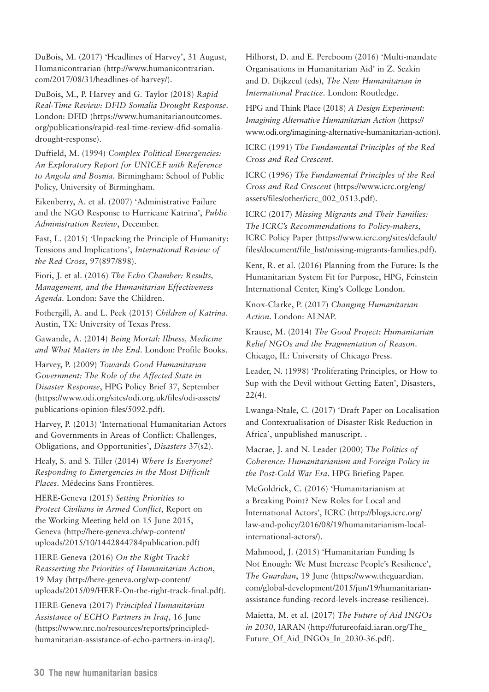DuBois, M. (2017) 'Headlines of Harvey', 31 August, Humanicontrarian [\(http://www.humanicontrarian.](http://www.humanicontrarian.com/2017/08/31/headlines-of-harvey/) [com/2017/08/31/headlines-of-harvey/\)](http://www.humanicontrarian.com/2017/08/31/headlines-of-harvey/).

DuBois, M., P. Harvey and G. Taylor (2018) *Rapid Real-Time Review: DFID Somalia Drought Response*. London: DFID [\(https://www.humanitarianoutcomes.](https://www.humanitarianoutcomes.org/publications/rapid-real-time-review-dfid-somalia-drought-response) [org/publications/rapid-real-time-review-dfid-somalia](https://www.humanitarianoutcomes.org/publications/rapid-real-time-review-dfid-somalia-drought-response)[drought-response\)](https://www.humanitarianoutcomes.org/publications/rapid-real-time-review-dfid-somalia-drought-response).

Duffield, M. (1994) *Complex Political Emergencies: An Exploratory Report for UNICEF with Reference to Angola and Bosnia*. Birmingham: School of Public Policy, University of Birmingham.

Eikenberry, A. et al. (2007) 'Administrative Failure and the NGO Response to Hurricane Katrina', *Public Administration Review*, December.

Fast, L. (2015) 'Unpacking the Principle of Humanity: Tensions and Implications', *International Review of the Red Cross*, 97(897/898).

Fiori, J. et al. (2016) *The Echo Chamber: Results, Management, and the Humanitarian Effectiveness Agenda*. London: Save the Children.

Fothergill, A. and L. Peek (2015) *Children of Katrina*. Austin, TX: University of Texas Press.

Gawande, A. (2014) *Being Mortal: Illness, Medicine and What Matters in the End*. London: Profile Books.

Harvey, P. (2009) *Towards Good Humanitarian Government: The Role of the Affected State in Disaster Response*, HPG Policy Brief 37, September ([https://www.odi.org/sites/odi.org.uk/files/odi-assets/](https://www.odi.org/sites/odi.org.uk/files/odi-assets/publications-opinion-files/5092.pdf) [publications-opinion-files/5092.pdf\)](https://www.odi.org/sites/odi.org.uk/files/odi-assets/publications-opinion-files/5092.pdf).

Harvey, P. (2013) 'International Humanitarian Actors and Governments in Areas of Conflict: Challenges, Obligations, and Opportunities', *Disasters* 37(s2).

Healy, S. and S. Tiller (2014) *Where Is Everyone? Responding to Emergencies in the Most Difficult Places*. Médecins Sans Frontières.

HERE-Geneva (2015) *Setting Priorities to Protect Civilians in Armed Conflict*, Report on the Working Meeting held on 15 June 2015, Geneva [\(http://here-geneva.ch/wp-content/](http://here-geneva.ch/wp-content/uploads/2015/10/1442844784publication.pdf) [uploads/2015/10/1442844784publication.pdf\)](http://here-geneva.ch/wp-content/uploads/2015/10/1442844784publication.pdf)

HERE-Geneva (2016) *On the Right Track? Reasserting the Priorities of Humanitarian Action*, 19 May [\(http://here-geneva.org/wp-content/](http://here-geneva.org/wp-content/uploads/2015/09/HERE-On-the-right-track-final.pdf) [uploads/2015/09/HERE-On-the-right-track-final.pdf](http://here-geneva.org/wp-content/uploads/2015/09/HERE-On-the-right-track-final.pdf)).

HERE-Geneva (2017) *Principled Humanitarian Assistance of ECHO Partners in Iraq*, 16 June ([https://www.nrc.no/resources/reports/principled](https://www.nrc.no/resources/reports/principled-humanitarian-assistance-of-echo-partners-in-iraq/)[humanitarian-assistance-of-echo-partners-in-iraq/\)](https://www.nrc.no/resources/reports/principled-humanitarian-assistance-of-echo-partners-in-iraq/). Hilhorst, D. and E. Pereboom (2016) 'Multi-mandate Organisations in Humanitarian Aid' in Z. Sezkin and D. Dijkzeul (eds), *The New Humanitarian in International Practice*. London: Routledge.

HPG and Think Place (2018) *A Design Experiment: Imagining Alternative Humanitarian Action* ([https://](https://www.odi.org/imagining-alternative-humanitarian-action) [www.odi.org/imagining-alternative-humanitarian-action\)](https://www.odi.org/imagining-alternative-humanitarian-action).

ICRC (1991) *The Fundamental Principles of the Red Cross and Red Crescent*.

ICRC (1996) *The Fundamental Principles of the Red Cross and Red Crescent* ([https://www.icrc.org/eng/](https://www.icrc.org/eng/assets/files/other/icrc_002_0513.pdf) [assets/files/other/icrc\\_002\\_0513.pdf\)](https://www.icrc.org/eng/assets/files/other/icrc_002_0513.pdf).

ICRC (2017) *Missing Migrants and Their Families: The ICRC's Recommendations to Policy-makers*, ICRC Policy Paper [\(https://www.icrc.org/sites/default/](https://www.icrc.org/sites/default/files/document/file_list/missing-migrants-families.pdf) [files/document/file\\_list/missing-migrants-families.pdf\)](https://www.icrc.org/sites/default/files/document/file_list/missing-migrants-families.pdf).

Kent, R. et al. (2016) Planning from the Future: Is the Humanitarian System Fit for Purpose, HPG, Feinstein International Center, King's College London.

Knox-Clarke, P. (2017) *Changing Humanitarian Action*. London: ALNAP.

Krause, M. (2014) *The Good Project: Humanitarian Relief NGOs and the Fragmentation of Reason*. Chicago, IL: University of Chicago Press.

Leader, N. (1998) 'Proliferating Principles, or How to Sup with the Devil without Getting Eaten', Disasters,  $22(4)$ .

Lwanga-Ntale, C. (2017) 'Draft Paper on Localisation and Contextualisation of Disaster Risk Reduction in Africa', unpublished manuscript. .

Macrae, J. and N. Leader (2000) *The Politics of Coherence: Humanitarianism and Foreign Policy in the Post-Cold War Era*. HPG Briefing Paper.

McGoldrick, C. (2016) 'Humanitarianism at a Breaking Point? New Roles for Local and International Actors', ICRC ([http://blogs.icrc.org/](http://blogs.icrc.org/law-and-policy/2016/08/19/humanitarianism-local-international-actors/) [law-and-policy/2016/08/19/humanitarianism-local](http://blogs.icrc.org/law-and-policy/2016/08/19/humanitarianism-local-international-actors/)[international-actors/\)](http://blogs.icrc.org/law-and-policy/2016/08/19/humanitarianism-local-international-actors/).

Mahmood, J. (2015) 'Humanitarian Funding Is Not Enough: We Must Increase People's Resilience', *The Guardian*, 19 June [\(https://www.theguardian.](https://www.theguardian.com/global-development/2015/jun/19/humanitarian-assistance-funding-record-levels-increase-resilience) [com/global-development/2015/jun/19/humanitarian](https://www.theguardian.com/global-development/2015/jun/19/humanitarian-assistance-funding-record-levels-increase-resilience)[assistance-funding-record-levels-increase-resilience](https://www.theguardian.com/global-development/2015/jun/19/humanitarian-assistance-funding-record-levels-increase-resilience)).

Maietta, M. et al. (2017) *The Future of Aid INGOs in 2030*, IARAN [\(http://futureofaid.iaran.org/The\\_](http://futureofaid.iaran.org/The_Future_Of_Aid_INGOs_In_2030-36.pdf) [Future\\_Of\\_Aid\\_INGOs\\_In\\_2030-36.pdf](http://futureofaid.iaran.org/The_Future_Of_Aid_INGOs_In_2030-36.pdf)).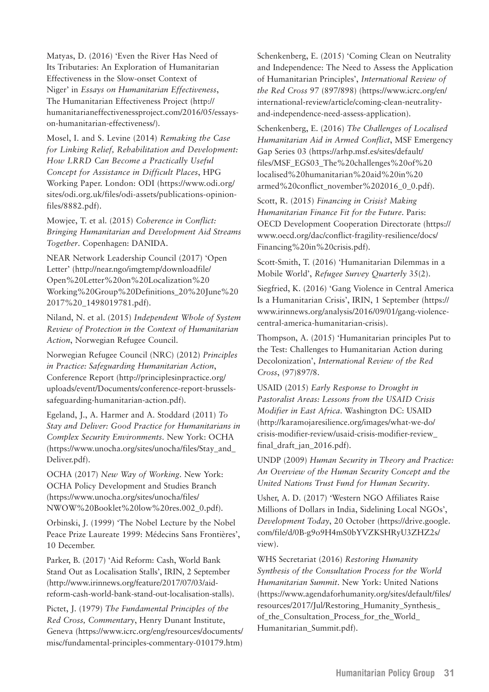Matyas, D. (2016) 'Even the River Has Need of Its Tributaries: An Exploration of Humanitarian Effectiveness in the Slow-onset Context of Niger' in *Essays on Humanitarian Effectiveness*, The Humanitarian Effectiveness Project [\(http://](http://humanitarianeffectivenessproject.com/2016/05/essays-on-humanitarian-effectiveness/) [humanitarianeffectivenessproject.com/2016/05/essays](http://humanitarianeffectivenessproject.com/2016/05/essays-on-humanitarian-effectiveness/)[on-humanitarian-effectiveness/\)](http://humanitarianeffectivenessproject.com/2016/05/essays-on-humanitarian-effectiveness/).

Mosel, I. and S. Levine (2014) *Remaking the Case for Linking Relief, Rehabilitation and Development: How LRRD Can Become a Practically Useful Concept for Assistance in Difficult Places*, HPG Working Paper. London: ODI ([https://www.odi.org/](https://www.odi.org/sites/odi.org.uk/files/odi-assets/publications-opinion-files/8882.pdf) [sites/odi.org.uk/files/odi-assets/publications-opinion](https://www.odi.org/sites/odi.org.uk/files/odi-assets/publications-opinion-files/8882.pdf)[files/8882.pdf\)](https://www.odi.org/sites/odi.org.uk/files/odi-assets/publications-opinion-files/8882.pdf).

Mowjee, T. et al. (2015) *Coherence in Conflict: Bringing Humanitarian and Development Aid Streams Together*. Copenhagen: DANIDA.

NEAR Network Leadership Council (2017) 'Open Letter' [\(http://near.ngo/imgtemp/downloadfile/](http://near.ngo/imgtemp/downloadfile/Open%20Letter%20on%20Localization%20Working%20Group%20Definitions_20%20June%202017%20_1498019781.pdf) [Open%20Letter%20on%20Localization%20](http://near.ngo/imgtemp/downloadfile/Open%20Letter%20on%20Localization%20Working%20Group%20Definitions_20%20June%202017%20_1498019781.pdf) [Working%20Group%20Definitions\\_20%20June%20](http://near.ngo/imgtemp/downloadfile/Open%20Letter%20on%20Localization%20Working%20Group%20Definitions_20%20June%202017%20_1498019781.pdf) [2017%20\\_1498019781.pdf\)](http://near.ngo/imgtemp/downloadfile/Open%20Letter%20on%20Localization%20Working%20Group%20Definitions_20%20June%202017%20_1498019781.pdf).

Niland, N. et al. (2015) *Independent Whole of System Review of Protection in the Context of Humanitarian Action*, Norwegian Refugee Council.

Norwegian Refugee Council (NRC) (2012) *Principles in Practice: Safeguarding Humanitarian Action*, Conference Report [\(http://principlesinpractice.org/](http://principlesinpractice.org/uploads/event/Documents/conference-report-brussels-safeguarding-humanitarian-action.pdf) [uploads/event/Documents/conference-report-brussels](http://principlesinpractice.org/uploads/event/Documents/conference-report-brussels-safeguarding-humanitarian-action.pdf)[safeguarding-humanitarian-action.pdf\)](http://principlesinpractice.org/uploads/event/Documents/conference-report-brussels-safeguarding-humanitarian-action.pdf).

Egeland, J., A. Harmer and A. Stoddard (2011) *To Stay and Deliver: Good Practice for Humanitarians in Complex Security Environments*. New York: OCHA [\(https://www.unocha.org/sites/unocha/files/Stay\\_and\\_](https://www.unocha.org/sites/unocha/files/Stay_and_Deliver.pdf) [Deliver.pdf\)](https://www.unocha.org/sites/unocha/files/Stay_and_Deliver.pdf).

OCHA (2017) *New Way of Working*. New York: OCHA Policy Development and Studies Branch [\(https://www.unocha.org/sites/unocha/files/](https://www.unocha.org/sites/unocha/files/NWOW%20Booklet%20low%20res.002_0.pdf) [NWOW%20Booklet%20low%20res.002\\_0.pdf\)](https://www.unocha.org/sites/unocha/files/NWOW%20Booklet%20low%20res.002_0.pdf).

Orbinski, J. (1999) 'The Nobel Lecture by the Nobel Peace Prize Laureate 1999: Médecins Sans Frontières', 10 December.

Parker, B. (2017) 'Aid Reform: Cash, World Bank Stand Out as Localisation Stalls', IRIN, 2 September [\(http://www.irinnews.org/feature/2017/07/03/aid](http://www.irinnews.org/feature/2017/07/03/aid-reform-cash-world-bank-stand-out-localisation-stalls)[reform-cash-world-bank-stand-out-localisation-stalls](http://www.irinnews.org/feature/2017/07/03/aid-reform-cash-world-bank-stand-out-localisation-stalls)).

Pictet, J. (1979) *The Fundamental Principles of the Red Cross, Commentary*, Henry Dunant Institute, Geneva [\(https://www.icrc.org/eng/resources/documents/](https://www.icrc.org/eng/resources/documents/misc/fundamental-principles-commentary-010179.htm) [misc/fundamental-principles-commentary-010179.htm](https://www.icrc.org/eng/resources/documents/misc/fundamental-principles-commentary-010179.htm))

Schenkenberg, E. (2015) 'Coming Clean on Neutrality and Independence: The Need to Assess the Application of Humanitarian Principles', *International Review of the Red Cross* 97 (897/898) ([https://www.icrc.org/en/](https://www.icrc.org/en/international-review/article/coming-clean-neutrality-and-independence-need-assess-application) [international-review/article/coming-clean-neutrality](https://www.icrc.org/en/international-review/article/coming-clean-neutrality-and-independence-need-assess-application)[and-independence-need-assess-application](https://www.icrc.org/en/international-review/article/coming-clean-neutrality-and-independence-need-assess-application)).

Schenkenberg, E. (2016) *The Challenges of Localised Humanitarian Aid in Armed Conflict*, MSF Emergency Gap Series 03 ([https://arhp.msf.es/sites/default/](https://arhp.msf.es/sites/default/files/MSF_EGS03_The%20challenges%20of%20localised%20humanitarian%20aid%20in%20armed%20conflict_november%202016_0_0.pdf) [files/MSF\\_EGS03\\_The%20challenges%20of%20](https://arhp.msf.es/sites/default/files/MSF_EGS03_The%20challenges%20of%20localised%20humanitarian%20aid%20in%20armed%20conflict_november%202016_0_0.pdf) [localised%20humanitarian%20aid%20in%20](https://arhp.msf.es/sites/default/files/MSF_EGS03_The%20challenges%20of%20localised%20humanitarian%20aid%20in%20armed%20conflict_november%202016_0_0.pdf) [armed%20conflict\\_november%202016\\_0\\_0.pdf](https://arhp.msf.es/sites/default/files/MSF_EGS03_The%20challenges%20of%20localised%20humanitarian%20aid%20in%20armed%20conflict_november%202016_0_0.pdf)).

Scott, R. (2015) *Financing in Crisis? Making Humanitarian Finance Fit for the Future*. Paris: OECD Development Cooperation Directorate ([https://](https://www.oecd.org/dac/conflict-fragility-resilience/docs/Financing%20in%20crisis.pdf) [www.oecd.org/dac/conflict-fragility-resilience/docs/](https://www.oecd.org/dac/conflict-fragility-resilience/docs/Financing%20in%20crisis.pdf) [Financing%20in%20crisis.pdf\)](https://www.oecd.org/dac/conflict-fragility-resilience/docs/Financing%20in%20crisis.pdf).

Scott-Smith, T. (2016) 'Humanitarian Dilemmas in a Mobile World', *Refugee Survey Quarterly* 35(2).

Siegfried, K. (2016) 'Gang Violence in Central America Is a Humanitarian Crisis', IRIN, 1 September ([https://](https://www.irinnews.org/analysis/2016/09/01/gang-violence-central-america-humanitarian-crisis) [www.irinnews.org/analysis/2016/09/01/gang-violence](https://www.irinnews.org/analysis/2016/09/01/gang-violence-central-america-humanitarian-crisis)[central-america-humanitarian-crisis\)](https://www.irinnews.org/analysis/2016/09/01/gang-violence-central-america-humanitarian-crisis).

Thompson, A. (2015) 'Humanitarian principles Put to the Test: Challenges to Humanitarian Action during Decolonization', *International Review of the Red Cross*, (97)897/8.

USAID (2015) *Early Response to Drought in Pastoralist Areas: Lessons from the USAID Crisis Modifier in East Africa*. Washington DC: USAID ([http://karamojaresilience.org/images/what-we-do/](http://karamojaresilience.org/images/what-we-do/crisis-modifier-review/usaid-crisis-modifier-review_final_draft_jan_2016.pdf) [crisis-modifier-review/usaid-crisis-modifier-review\\_](http://karamojaresilience.org/images/what-we-do/crisis-modifier-review/usaid-crisis-modifier-review_final_draft_jan_2016.pdf) [final\\_draft\\_jan\\_2016.pdf\)](http://karamojaresilience.org/images/what-we-do/crisis-modifier-review/usaid-crisis-modifier-review_final_draft_jan_2016.pdf).

UNDP (2009) *Human Security in Theory and Practice: An Overview of the Human Security Concept and the United Nations Trust Fund for Human Security*.

Usher, A. D. (2017) 'Western NGO Affiliates Raise Millions of Dollars in India, Sidelining Local NGOs', *Development Today*, 20 October ([https://drive.google.](https://drive.google.com/file/d/0B-g9o9H4mS0bYVZKSHRyU3ZHZ2s/view) [com/file/d/0B-g9o9H4mS0bYVZKSHRyU3ZHZ2s/](https://drive.google.com/file/d/0B-g9o9H4mS0bYVZKSHRyU3ZHZ2s/view) [view](https://drive.google.com/file/d/0B-g9o9H4mS0bYVZKSHRyU3ZHZ2s/view)).

WHS Secretariat (2016) *Restoring Humanity Synthesis of the Consultation Process for the World Humanitarian Summit*. New York: United Nations ([https://www.agendaforhumanity.org/sites/default/files/](https://www.agendaforhumanity.org/sites/default/files/resources/2017/Jul/Restoring_Humanity_Synthesis_of_the_Consultation_Process_for_the_World_Humanitarian_Summit.pdf) [resources/2017/Jul/Restoring\\_Humanity\\_Synthesis\\_](https://www.agendaforhumanity.org/sites/default/files/resources/2017/Jul/Restoring_Humanity_Synthesis_of_the_Consultation_Process_for_the_World_Humanitarian_Summit.pdf) of the Consultation Process for the World [Humanitarian\\_Summit.pdf\)](https://www.agendaforhumanity.org/sites/default/files/resources/2017/Jul/Restoring_Humanity_Synthesis_of_the_Consultation_Process_for_the_World_Humanitarian_Summit.pdf).